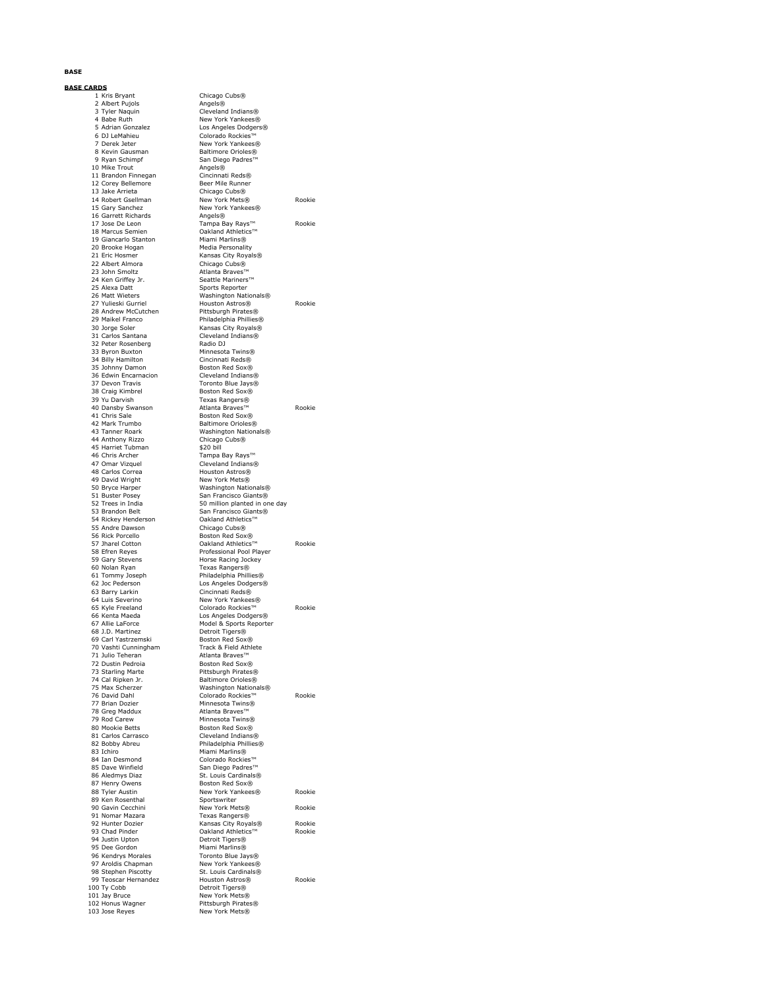### **BASE**

### **BASE CARDS**

1 Kris Bryant<br>
2 Albert Pujols<br>
3 Tyler Naquin<br>
4 Babe Ruth 3 Tyler Naquin Cleveland Indians® 4 Babe Ruth New York Yankees® 5 Adrian Gonzalez Los Angeles Dodgers® 6 DJ LeMahieu Colorado Rockies™ 7 Derek Jeter New York Yankees®<br>19 Nevin Gausman Maltimore Orioles® 8 Kevin Gausman Baltimore Orioles® 10 Mike Trout 11 Brandon Finnegan<br>11 Brandon Finnegan Cincinnati Reds®<br>12 Corey Bellemore Beer Mile Runner 12 Corey Bellemore<br>
13 Jake Arrieta<br>
21 Chicago Cubs® 15 Gary Sanchez New York Yankees® 16 Garrett Richards<br>17 Jose De Leon 19 Giancarlo Stanton<br>20 Brooke Hogan 20 Brooke Hogan Media Personality 21 Eric Hosmer Kansas City Royals® 22 Albert Almora Chicago Cubs® 23 John Smoltz Atlanta Braves™ 24 Ken Griffey Jr. Seattle Mariners™<br>25 Alexa Datt Sports Reporter 28 Andrew McCutchen Pittsburgh Pirates®<br>29 Maikel Franco Philadelphia Phillies 29 Maikel Franco Philadelphia Phillies® 31 Carlos Santana<br>32 Peter Rosenberg<br>33 Byron Buxton<br>34 Billy Hamilton 33 Byron Buxton Minnesota Twins® 34 Billy Hamilton Cincinnati Reds® 35 Johnny Damon Boston Red Sox<sup>®</sup><br>36 Edwin Encarnacion Boston Red Sox<sup>®</sup> 36 Edwin Encarnacion<br>37 Devon Travis 38 Craig Kimbrel Boston Red Sox® 39 Yu Darvish Texas Rangers® 42 Mark Trumbo<br>42 Mark Trumbo<br>42 Mark Trumbo<br>58 Baltimore Orioles® 44 Anthony Rizzo Chicago Chicago Chicago Chicago Chicago Chicago Chicago Chicago Chicago Chicago Chicago Chicago Chicago Chicago Chicago Chicago Chicago Chicago Chicago Chicago Chicago Chicago Chicago Chicago Chicago Chica 45 Harriet Tubman<br>46 Chris Archer 46 Chris Archer Tampa Bay Rays™<br>47 Omar Vizguel Cleveland Indians 47 Omar Vizquel Cleveland Indians®<br>18 Carlos Correa Houston Astros®<br>19 David Wright New York Mets® 48 Carlos Correa Houston Astros® 49 David Wright New York Mets® 50 Bryce Harper Washington Nationals® 51 Buster Posey San Francisco Giants® 52 Trees in India 50 million planted in one day 53 Brandon Belt San Francisco Giants® 54 Rickey Henderson **Oakland Athletics™**<br>55 Andre Dawson Chicago Cubs® 55 Andre Dawson Chicago Cubs® 58 Efren Reyes Professional Pool Player 59 Gary Stevens Form Horse Racing Jockey<br>19 Nolan Ryan Fexas Rangers® 61 Tommy Joseph<br>62 Joc Pederson external distribution of the contract of the contract of the contract of the contract of the contract of the contract  $\cos A \text{ng}$  and  $\cos A \text{ng}$  contract  $\cos A \text{ng}$  contract  $\cos A \text{ng}$ 63 Barry Larkin Cincinnati Reds® 64 Luis Severino New York Yankees®<br>65 Kyle Freeland Colorado Rockies™ 66 Kenta Maeda Los Angeles Dodgers® 68 J.D. Martinez Detroit Tigers® 69 Carl Yastrzemski Boston Red Sox® 70 Vashti Cunningham Track & Field Athlete 71 Julio Teheran Atlanta Braves™ 72 Dustin Pedroia Boston Red Sox® 73 Starling Marte Pittsburgh Pirates®<br>74 Cal Ripken Jr. Baltimore Orioles® 74 Cal Ripken Jr. Baltimore Orioles® 15 Max Scherzer Mashington Nationals®<br>175 Max Scherzer Washington Nationals®<br>176 David Dahl Colorado Rockies™<br>177 Brian Dozier Minnesota Twins® 78 Greg Maddux Atlanta Braves™ 79 Rod Carew Minnesota Twins® 80 Mookie Betts Boston Red Sox®<br>81 Carlos Carrasco Boston Red Sox® 81 Carlos Carrasco Cleveland Indians® 82 Bobby Abreu Philadelphia Phillies® 83 Ichiro Miami Marlins® 84 Ian Desmond Colorado Rockies™ 85 Dave Winfield San Diego Padres™<br>86 Aledmys Diaz St. Louis Cardinals 86 Aledmys Diaz St. Louis Cardinals® 87 Henry Owens Boston Red Sox® 89 Tyler Austin<br>
89 Ken Rosenthal<br>
89 Ken Rosenthal<br>
90 Gavin Cecchini<br>
Sportswriter<br>
New York Mets® 94 Justin Upton Detroit Tigers® 95 Dee Gordon<br>95 Dee Gordon<br>96 Kendrys Morales 95 Dee Gordon<br>
196 Kendrys Morales Toronto Blue Jays®<br>
196 Kendrys Morales Toronto Blue Jays®<br>
197 Aroldis Capman<br>
198 Stephen Piscotty<br>
198 Stephen Piscotty<br>
198 Stephen Piscotty 97 Aroldis Chapman New York Yankees® 98 Stephen Piscotty St. Louis Cardinals® 101 Jay Bruce New York Mets® 102 Honus Wagner<br>103 Jose Reyes

Chicago Cubs® San Diego Padres™<br>Angels®<br>Cincinnati Reds® 13 Jake Arrieta Chicago Cubs® 14 Robert Gsellman New York Mets® Rookie 17 Jose De Leon Tampa Bay Rays™ Rookie 0 akland Athletics™<br>Miami Marlins® 26 Matt Wieters Washington Nationals® 27 Yulieski Gurriel Houston Astros® Rookie 30 Jorge Soler Kansas City Royals® Cleveland Indians®<br>Radio DJ Toronto Blue Jays®<br>Boston Red Sox® 40 Dansby Swanson Atlanta Braves™ Rookie Boston Red Sox® Washington Nationals®<br>Chicago Cubs® Boston Red Sox®<br>Cakland Athletics™ 57 Jharel Cotton Oakland Athletics™ Rookie Frank Frankry Frankry<br>Texas Rangers®<br>Philadelphia Phillies® o Lans de Colorado Rockies™<br>65 Kyle Freeland Colorado Rockies™ Rookie<br>66 Kenta Maeda Los Angeles Dodgers® Model & Sports Reporter 76 David Dahl Colorado Rockies™ Rookie 77 Brian Dozier Minnesota Twins® **Read Tyler Austin New York Yankees®** Rookie<br>Sportswriter 90 Gavin Cecchini **New York Mets®** Rookie<br>91 Nomar Mazara **New York Mets®** 91 Nomar Mazara Texas Rangers® 92 Hunter Dozier Kansas City Royals® Rookie 93 Chad Pinder Oakland Athletics™ Rookie 99 Teoscar Hernandez Houston Astros® Rookie 100 Detroit Tigers® Pittsburgh Pirates®<br>New York Mets®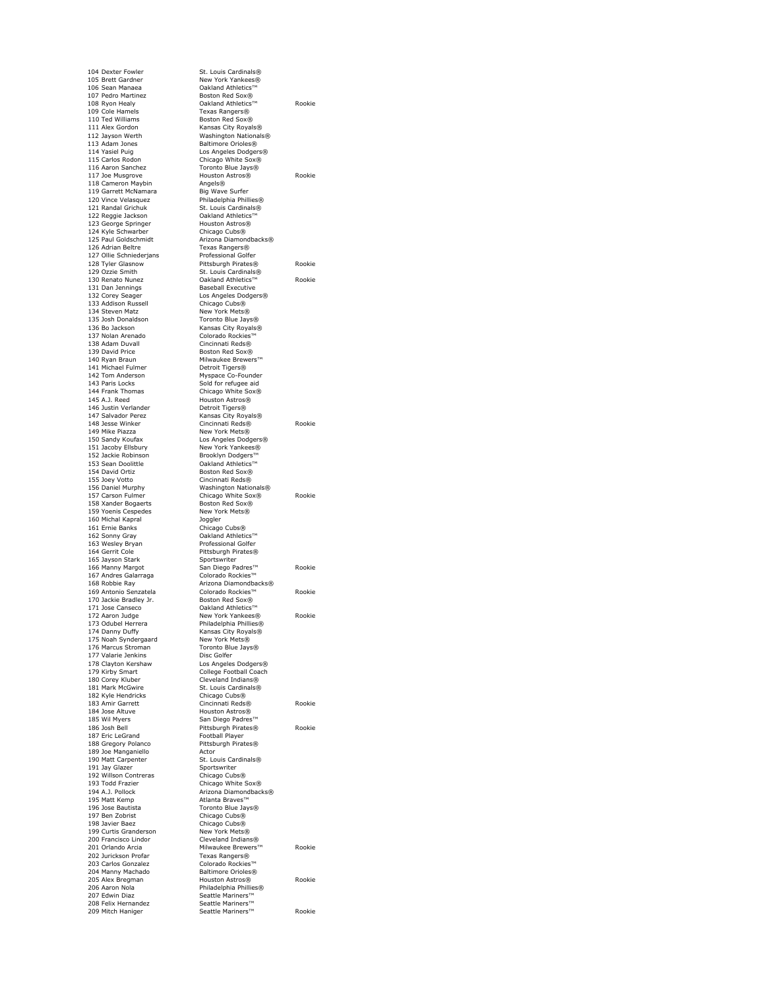104 Dexter Fowler St. Louis Cardinals®<br>105 Brett Gardner New York Yankees® 105 Brett Gardner New York Yankees®<br>106 Sean Manaea → Oakland Athletics™ 107 Pedro Martinez 109 Cole Hamels<br>110 Ted Williams 100 Cole Hamels<br>
110 Ted Williams Boston Red Sox®<br>
111 Alex Gordon Maximus Roston Red Sox®<br>
112 Jayson Werth Washington Natio 111 Alex Gordon Kansas City Royals® 112 Jayson Werth Washington Nationals® 113 Adam Jones Baltimore Orioles®<br>114 Yasiel Puig Casses Bodger 114 Yasiel Puig Los Angeles Dodgers® 115 Carlos Rodon Chicago White Sox® 116 Aaron Sanchez Toronto Blue Jays® 118 Cameron Maybin 119 Garrett McNamara<br>120 Vince Velasquez 119 Garrett McNamara<br>
119 Garrett McNamara<br>
120 Vince Velasquez Philadelphia Phillies®<br>
121 Randal Grichuk St. Louis Cardinals® 122 Reggie Jackson **Oakland Athletics**™<br>123 George Springer Houston Astros® 123 George Springer and Houston Astrosomers (124 Kyle Schwarber 124 Kyle Schwarber<br>125 Paul Goldschmidt 126 Adrian Beltre 127 Ollie Schniederjans<br>128 Tyler Glasnow 132 Corey Seager<br>
133 Addison Russell<br>
133 Addison Russell<br>
134 Steven Matz<br>
134 Steven Matz<br>
134 Steven Matz<br>
134 Steven Matz<br>
135 Addison Russell<br>
134 Steven Matz<br>
137 Addison Russell 134 Steven Matz<br>135 Josh Donaldson 135 Josh Donaldson Toronto Blue Jays®<br>136 Bo Jackson Mansas City Royals® 137 Nolan Arenado<br>
138 Adam Duvall Colorado Rockies<br>
138 Adam Duvall Cincinnati Reds®<br>
139 David Price Boston Red Sox® 139 David Price<br>140 Ryan Braun 141 Michael Fulmer<br>142 Tom Anderson 142 Tom Anderson Myspace Co-Founder<br>143 Paris Locks Corporation Sold for refugee aid 143 Paris Locks Sold for refugee aid<br>144 Frank Thomas Sold Chicago White Sox® 145 A.J. Reed Houston Astros® 146 Justin Verlander Detroit Tigers® 147 Salvador Perez **Kansas City Royals®**<br>148 Jesse Winker **Kansas City Royals®** 149 Mike Piazza New York Mets® 150 Sandy Koufax Los Angeles Dodgers® 151 Jacoby Ellsbury New York Yankees® 152 Jackie Robinson 152 Jackie Robinson<br>153 Sean Doolittle Colland Athletics™<br>153 Sean Doolittle Colland Athletics™<br>154 David Ortiz Boston Red Sox® 155 Joey Votto Cincinnati Reds®<br>156 Daniel Murphy Mashington Natio<br>157 Carson Fulmer Chicago White So 158 Xander Bogaerts Boston Red Sox®<br>159 Yoenis Cespedes New York Mets® 160 Michal Kapral<br>161 Ernie Banks 160 Michal Kapral **161 Ernie Banks**<br>161 Ernie Banks Chicago Cubs®<br>162 Sonny Gray **Calland Athleti** 163 Wesley Bryan<br>164 Gerrit Cole 165 Jayson Stark<br>166 Manny Margot 167 Andres Galarraga<br>168 Robbie Ray 170 Jackie Bradley Jr.<br>171 Jose Canseco 171 Jose Canseco Contra Contra Contra Contra Contra Contra Contra Contra<br>172 Aaron Judge Contra New York Yankees 173 Odubel Herrera **Philadelphia Phillies®**<br>174 Danny Duffy **Canada Ray Ransas City Royals®** 175 Noah Syndergaard Mew York Mets®<br>176 Marcus Stroman Toronto Blue Jays® 177 Valarie Jenkins<br>178 Clayton Kershaw 177 Valarie Jenkins<br>
177 Valarie Jenkins<br>
178 Clayton Kershaw Los Angeles Dodgers®<br>
179 Kirhy Smart<br>
College Football Coach 179 Kirby Smart College Football Coach<br>180 Corey Kluber Cleveland Indians®<br>181 Mark McGwire St. Louis Cardinals® 180 Corey Kluber Cleveland Indians® 181 Mark McGwire St. Louis Cardinals® 184 Jose Altuve Nouston Astros®<br>185 Wil Myers San Diego Padres™ 187 Eric LeGrand Football Player<br>188 Gregory Polanco Pittsburgh Pirates® 188 Gregory Polanco Pittsburgh Pittsburgh Pittsburgh Pittsburgh Pittsburgh Pittsburgh Pittsburgh Pittsburgh Pittsburgh Pittsburgh Pittsburgh Pittsburgh Pittsburgh Pittsburgh Pittsburgh Pittsburgh Pittsburgh Pittsburgh Pitt 189 Joe Manganiello<br>190 Matt Carpenter 191 Jay Glazer Sportswriter<br>192 Willson Contreras Chicago Cubs® 192 Willson Contreras Chicago Cubs® 193 Todd Frazier Chicago White Sox® 194 A.J. Pollock Arizona Diamondbacks®<br>195 Matt Kemp Atlanta Braves™ 196 Jose Bautista Toronto Blue Jays® 197 Ben Zobrist Chicago Cubs®<br>198 Javier Baez Chicago Cubs® 198 Javier Baez Chicago Cubs® 199 Curtis Granderson 200 Francisco Lindor Cleveland Indians® 203 Carlos Gonzalez Colorado Rockies™ 204 Manny Machado Baltimore Orioles® 207 Edwin Diaz Seattle Mariners™<br>208 Felix Hernandez Seattle Mariners™ 208 Felix Hernandez<br>209 Mitch Haniger

106 Sean Manaea Oakland Athletics™ 108 Ryon Healy Oakland Athletics™ Rookie 110 Animaline Houston County Houston Astros® Rookie<br>117 Joe Musgrove Houston Astros® Rookie<br>118 Cameron Mavbin 1111 Randal Philadelphia Philadelphia Arizona Diamondbacks®<br>Texas Rangers®<br>Professional Golfer 128 Tyler Glasnow Pittsburgh Pirates® Rookie 129 Ozzie Smith St. Louis Cardinals® 130 Renato Nunez Oakland Athletics™ Rookie **Baseball Executive** Los Angeles Dodgers®<br>Chicago Cubs® 136 Blue Says® 1378 Colorado Rockies™<br>Cincinnati Reds® Milwaukee Brewers™<br>Detroit Tigers® 148 Jesse Winker Cincinnati Reds® Rookie<br>149 Mike Piazza Mew York Mets® Boston Red Sox® 156 Daniel Murphy Washington Nationals® 157 Carson Fulmer Chicago White Sox® Rookie Cincago Cabs®<br>
Cakland Athletics™<br>
Professional Golfer Pittsburgh Pirates®<br>Sportswriter 166 Marchines<br>166 Marchines™ Rookie<br>166 Marchines™ Rookies™ Arizona Diamondbacks® 169 Antonio Senzatela Colorado Rockies™ Rookie<br>170 Jackie Bradlev Jr. Boston Red Sox® 172 Aaron Judge New York Yankees® Rookie Kansas City Royals®<br>New York Mets®<br>Toronto Blue Jays® 182 Kyle Hendricks Chicago Cubs® 183 Amir Garrett Cincinnati Reds® Rookie 186 Josh Bell Pittsburgh Pirates® Rookie Accor<br>St. Louis Cardinals®<br>Snortswriter 201 Orlando Arcia Milwaukee Brewers™ Rookie 202 Jurickson Profar Texas Rangers® 205 Alex Bregman Houston Astros® Rookie Philadelphia Phillies® 209 Mitch Haniger Seattle Mariners™ Rookie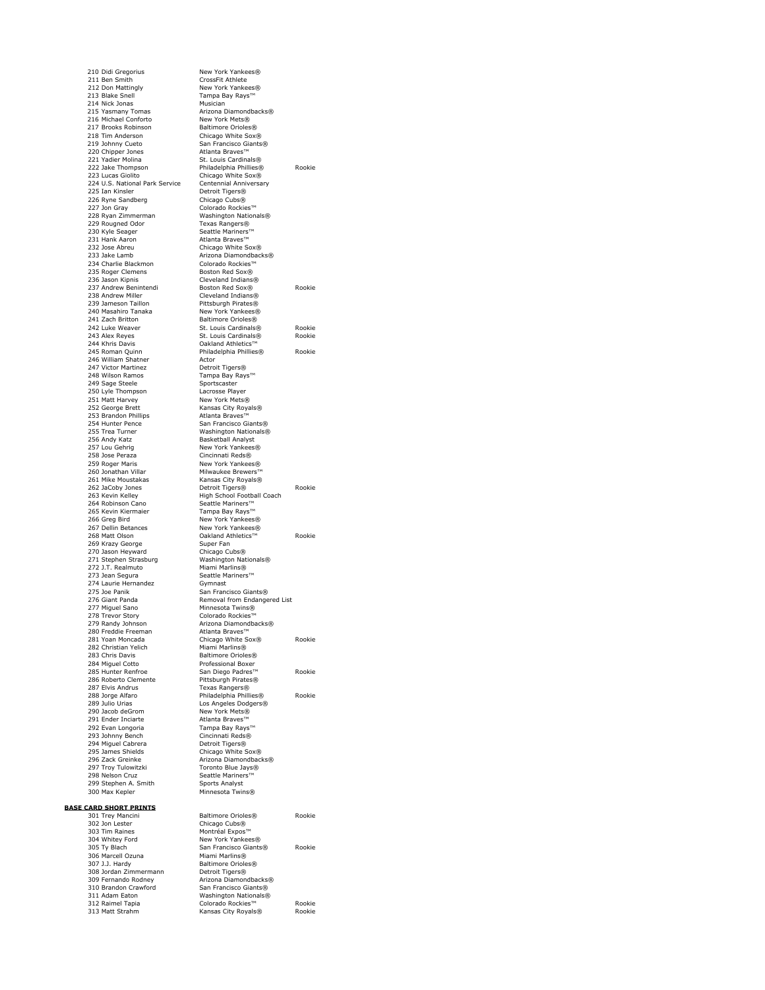210 Didi Gregorius New York Yankees® 211 Ben Smith CrossFit Athlete 212 Don Mattingly New York Yankees®<br>213 Blake Snell Tampa Bay Rays™ 214 Nick Jonas Musician 215 Yasmany Tomas<br>
215 Yasmany Tomas<br>
216 Michael Conforto<br>
217 Brooks Robinson<br>
217 Brooks Robinson<br>
218 Baltimore Orioles 217 Brooks Robinson Baltimore Orioles® 218 Tim Anderson Chicago White Sox® 219 Johnny Cueto<br>220 Chipper Jones<br>221 Yadier Molina 221 Yadier Molina<br>
221 Yadier Molina<br>
222 Jake Thompson<br>
Philadelphia Phillies® 224 U.S. National Park Service<br>224 U.S. National Park Service Centennial Anni<br>225 Ian Kinsler Detroit Tigers® 225 Ian Kinsler Detroit Tigers® 226 Ryne Sandberg Chicago Cubs® 227 Jon Gray Colorado Rockies™ 228 Ryan Zimmerman Mashington Nationals®<br>229 Rougned Odor Texas Rangers®<br>230 Kyle Seager Seattle Mariners™ 229 Rougned Odor Texas Rangers® 230 Kyle Seager Seattle Mariners™ 231 Hank Aaron **Atlanta Braves™**<br>232 Jose Abreu **Atlanta Braves**™ Chicago White S 233 Jake Lamb Arizona Diamondbacks®<br>234 Charlie Blackmon Colorado Rockies™ 234 Charlie Blackmon 235 Roger Clemens<br>
236 Jason Kipnis<br>
237 Andrew Benintendi<br>
237 Andrew Benintendi<br>
Boston Red Sox® 238 Andrew Miller Cleveland Indians® 239 Jameson Taillon 240 Masahiro Tanaka New York Yankees®<br>241 Zach Britton Raltimore Orioles® 241 Zach Britton Baltimore Orioles®<br>242 Luke Weaver St. Louis Cardinals 245 Roman Quinn<br>
246 William Shatner<br>
247 Victor Martinez<br>
247 Victor Martinez<br>
247 Victor Martinez<br>
247 Victor Martinez 247 Victor Martinez<br>248 Wilson Ramos 249 Sage Steele Sportscaster<br>250 Lyle Thompson Lacrosse Player 250 Lyle Thompson Lacrosse Player 250 Eyic Momps 252 George Brett Kansas City Royals® 252 Brandon Phillips<br>253 Brandon Phillips<br>254 Hunter Pence 253 Brandon Phillips<br>
254 Hunter Pence San Francisco Giants®<br>
255 Trea Turner Washington Nationals®<br>
255 Trea Turner Washington Nationals®<br>
256 Andy Katz Basketball Analyst 255 Trea Turner Washington Nationals® 256 Andy Katz Basketball Analyst 257 Lou Gehrig New York Yankees® 259 Roger Maris New York Yankees®<br>260 Jonathan Villar Milwaukee Brewers<sup>™</sup><br>261 Mike Moustakas New Kansas City Royals® 260 Jonathan Villar Milwaukee Brewers™<br>261 Mike Moustakas Kansas City Royals® 264 Robinson Cano Seattle Mariners™<br>265 Kevin Kiermaier Tampa Bay Rays™ 266 Greg Bird **New York Yankees®**<br>267 Dellin Betances New York Yankees® 267 Dellin Betances<br>267 Dellin Betances<br>268 Matt Olson Dakland Athletics™ 269 Krazy George Super Fan 270 Jason Heyward Chicago Cubs® 271 Stephen Strasburg Washington Nationals® 272 J.T. Realmuto Miami Marlins®<br>272 J.T. Realmuto Miami Marlins®<br>273 Jean Sequra Seattle Mariners™ 273 Jean Segura November Seattle Mariners™<br>274 Laurie Hernandez November Gymnast 275 Joe Panik San Francisco Giants®<br>276 Giant Panda San Francisco Giants® 276 Giant Panda **Removal from Endangered List** Removal from Endangered List 277 Miguel Sano Minnesota Twins® 278 Trevor Story Colorado Rockies™<br>279 Randy Johnson Colorado Rockies 280 Freddie Freeman Atlanta Braves™ 281 Yoan Moncada<br>282 Christian Yelich<br>283 Chris Davis 283 Chris Davis Baltimore Orioles® 284 Miguel Cotto Professional Boxer 286 Roberto Clemente<br>
287 Elvis Andrus 287 Elvis Andrus Texas Rangers®<br>1288 Jorge Alfaro Philadelphia Philli<br>1289 Julio Urias Texas Los Angeles Dodg 290 Jacob deGrom New York Mets®<br>291 Ender Inciarte Atlanta Braves™ 291 Ender Inciarte<br>292 Evan Longoria 293 Johnny Bench Cincinnati Reds<br>
293 Johnny Bench Cincinnati Reds<br>
294 Miguel Cabrera Detroit Tigers® 294 Miguel Cabrera<br>295 James Shields 295 James Shields Chicago White Sox®<br>296 Zack Greinke Chicago Arizona Diamondback 297 Troy Tulowitzki Toronto Blue Jays® 298 Nelson Cruz Seattle Mariners™ 299 Stephen A. Smith Sports Analyst 300 Max Kepler Minnesota Twins® **BASE CARD SHORT PRINTS**

Tampa Bay Rays™ Arizona Diamondbacks® San Francisco Giants®<br>Atlanta Braves™ 222 Jake Thompson Philadelphia Phillies® Rookie<br>223 Lucas Giolito Chicago White Sox® Chicago White Sox®<br>Centennial Anniversary Chicago White Sox® 236 Jason Kipnis Cleveland Indians® 237 Andrew Benintendi Boston Red Sox® Rookie 242 Luke Weaver St. Louis Cardinals® Rookie<br>243 Alex Reyes St. Louis Cardinals® Rookie<br>244 Khris Davis Oakland Athletics™ 243 Alex Reyes St. Louis Cardinals® Rookie 244 Khris Davis Oakland Athletics™ Philadelphia Phillies® Rookie<br>Actor Tampa Bay Rays™<br>Sportscaster Cincinnati Reds® 262 JaCoby Jones Detroit Tigers® Rookie 263 Kevin Kelley High School Football Coach 268 Matter Oakland Athletics™ Rookie<br>268 Matter Cookie<br>268 Matter Cookie Arizona Diamondbacks® 281 Chicago White Sox® Rookie<br>281 Marii Marlins® 285 Hunter Renfroe San Diego Padres™ Rookie<br>286 Roberto Clemente Pittsburgh Pirates® 288 Jorge Alfaro Philadelphia Phillies® Rookie 289 Julio Urias Los Angeles Dodgers® Tampa Bay Rays™<br>Cincinnati Reds® Arizona Diamondbacks®<br>Toronto Blue Javs® 301 Baltimore Orioles® Rookie<br>Chicago Cubs® **303 Differences** Montréal Expos™

301 Trey Mancini<br>302 Jon Lester

| 303 Tim Raines        | Montreal Expos."      |        |
|-----------------------|-----------------------|--------|
| 304 Whitey Ford       | New York Yankees®     |        |
| 305 Ty Blach          | San Francisco Giants® | Rookie |
| 306 Marcell Ozuna     | Miami Marlins®        |        |
| 307 J.J. Hardy        | Baltimore Orioles®    |        |
| 308 Jordan Zimmermann | Detroit Tigers®       |        |
| 309 Fernando Rodney   | Arizona Diamondbacks® |        |
| 310 Brandon Crawford  | San Francisco Giants® |        |
| 311 Adam Eaton        | Washington Nationals® |        |
| 312 Raimel Tapia      | Colorado Rockies™     | Rookie |
| 313 Matt Strahm       | Kansas City Royals®   | Rookie |

313 Matt Strahm Kansas City Royals® Rookie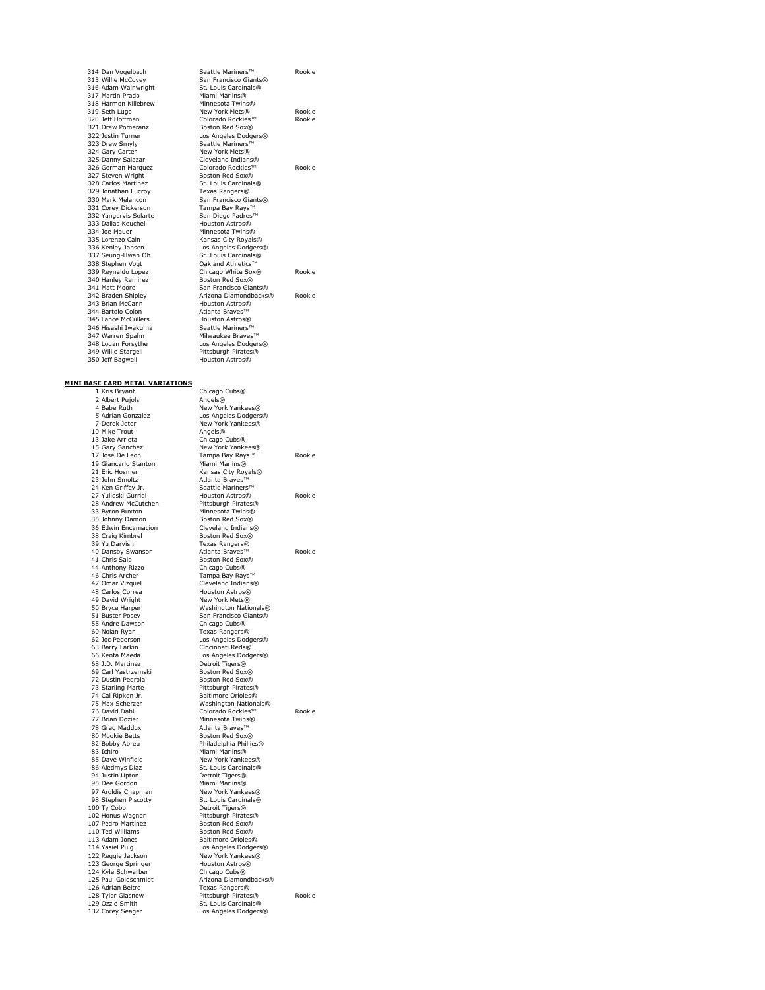316 Adam Wainwright St. Louis Cardin<br>
317 Martin Prado Miami Marlins® 317 Martin Prado<br>318 Harmon Killebrew Minnesota Twins® 318 Harmon Killebrev<br>319 Seth Lugo<br>320 Jeff Hoffman 321 Drew Pomeranz<br>322 Justin Turner 323 Drew Smyly<br>324 Gary Carter 325 Danny Salazar Cleveland Indians®<br>326 German Marquez Colorado Rockies™ 327 Steven Wright<br>328 Carlos Martinez 329 Jonathan Lucroy<br>330 Mark Melancon 331 Corey Dickerson Tampa Bay Rays™ 332 Yangervis Solarte San Diego Padres™<br>333 Dallas Keuchel Houston Astros® 334 Joe Mauer Minnesota Twins®<br>
335 Lorenzo Cain<br>
Kansas City Royals 335 Lorenzo Cain Kansas City Royals® 336 Kenley Jansen Los Angeles Dodgers® 337 Seung-Hwan Oh St. Louis Cardinals® 338 Stephen Vogt<br>338 Stephen Vogt<br>339 Reynaldo Lopez 340 Hanley Ramirez<br>341 Matt Moore 1934 Manley Ramirez<br>
340 Hanley Ramirez<br>
341 Matt Moore San Francisco Giants®<br>
342 Braden Shinley<br>
4rizona Diamondbacks 343 Brian McCann 344 Bartolo Colon **Atlanta Braves™**<br>345 Lance McCullers Houston Astros® 345 Lance McCullers **Houston Astros®**<br>346 Hisashi Iwakuma **Houston Astros**® 346 Hisashi Iwakuma<br>347 Warren Spahn<br>348 Logan Forsythe 349 Willie Stargell<br>350 Jeff Bagwell

# **MINI BASE CARD METAL VARIATIONS**

1 Kris Bryant<br>2 Albert Pujols 2 Albert Pujols<br>4 Babe Ruth New York Yankees®<br>5 Adrian Gonzalez Los Angeles Dodgers 5 Adrian Gonzalez Los Angeles Dodgers® 7 Derek Jeter New York Yankees® 10 Mike Trout<br>13 Jake Arrieta 13 Jake Arrieta<br>
13 Jake Arrieta<br>
13 Jake Arrieta<br>
15 Gary Sanchez<br>
15 Gary Sanchez<br>
16 New York Yanke 15 Gary Sanchez New York Yankees®<br>17 Jose De Leon Tampa Bay Rays™ 19 Giancarlo Stanton Miami Marlins®<br>11 Eric Hosmer 11 (Canada Kansas City Ro 23 John Smoltz **Atlanta Braves**<br>24 Ken Griffey Jr. Seattle Mariner<br>27 Yulieski Gurriel Houston Astros 24 Ken Griffey Jr. Seattle Mariners™ 27 Yulieski Gurriel Houston Astros® Rookie 28 Andrew McCutchen Pittsburgh Pirates® 33 Byron Buxton Minnesota Twins® 35 Johnny Damon Boston Red Sox<sup>®</sup><br>36 Edwin Encarnacion Cleveland Indians® 35 Sommy Barnon<br>36 Edwin Encarnacion<br>38 Craig Kimbrel 38 Craig Kimbrel Boston Red Sox®<br>38 Craig Kimbrel Boston Red Box®<br>39 Yu Darvish Texas Rangers® 40 Dansby Swanson Atlanta Braves™ Rookie 41 Chris Sale Boston Red Sox® 44 Anthony Rizzo Chicago Cubs® 46 Chris Archer Tampa Bay Rays™ 47 Omar Vizquel Cleveland Indians® 48 Carlos Correa **Houston Astros®**<br>49 David Wright **Assembly** New York Mets® 49 David Wright<br>50 Bryce Harper 50 Bryce Harper Washington Nationals®<br>51 Buster Posev San Francisco Giants® 55 Andre Dawson 60 Nolan Ryan Texas Rangers®<br>62 Joc Pederson Los Angeles Dod<br>63 Barry Larkin Cincinnati Reds® 62 Joc Pederson Los Angeles Dodgers® 63 Barry Larkin Cincinnati Reds® 66 Kenta Maeda Los Angeles Dodgers® 68 J.D. Martinez Detroit Tigers® 69 Carl Yastrzemski Boston Red Sox®<br>72 Dustin Pedroia Boston Red Sox® 72 Dustin Pedroia<br>T3 Starling Marte 73 Starling Marte<br>
74 Cal Ripken Jr. Baltimore Orioles®<br>
75 Max Scherzer Washington Nationa 74 Cal Ripken Jr. Baltimore Orioles® 75 Max Scherzer Washington Nationals® 76 David Dahl Colorado Rockies™ Rookie 78 Greg Maddux Atlanta Braves™ 80 Mookie Betts Boston Red Sox® 82 Bobby Abreu Philadelphia Phillies® 83 Ichiro<br>85 Dave Winfield 85 Dave Winfield Mami Marlins®<br>85 Dave Winfield Mew York Yankees®<br>86 Aledmys Diaz<br>86 Aledmys Diaz 86 Aledmys Diaz St. Louis Cardinals®<br>
94 Justin Upton Detroit Tigers® 94 Justin Upton Detroit Tigers® 95 Dee Gordon Miami Marlins® 97 Aroldis Chapman New York Yankees® 98 Stephen Piscotty St. Louis Cardinals® 100 Ty Cobb Detroit Tigers® 102 Honus Wagner Pittsburgh Pirates® 107 Pedro Martinez Boston Red Sox®<br>110 Ted Williams Boston Red Sox® 113 Adam Jones Baltimore Orioles®<br>114 Yasiel Puig Casses Books Books 114 Yasiel Puig Los Angeles Dodgers® 122 Reggie Jackson New York Yankees® 123 George Springer Houston Astros® 124 Kyle Schwarber Chicago Cubs® 125 Paul Goldschmidt Arizona Diamondbacks® 126 Adrian Beltre 128 Tyler Glasnow **Pittsburgh Pirates®** Rookie<br>129 Ozzie Smith St. Louis Cardinals® 129 Ozzie Smith St. Louis Cardinals®<br>132 Corey Seager Los Angeles Dodgers

314 Dan Vogelbach Seattle Mariners™ Rookie<br>315 Willie McCovey San Francisco Giants® San Francisco Giants®<br>St Touis Cardinals® 319 Seth Lugo New York Mets® Rookie 320 Jeff Hoffman Colorado Rockies™ Rookie Boston Red Sox®<br>Los Angeles Dodgers®<br>Seattle Mariners™ 324 Gary Carter New York Mets® 326 German Marquez Colorado Rockies™ Rookie St. Louis Cardinals® 31. Eodis Cardinais®<br>Texas Rangers®<br>San Francisco Giants®<br>Tampa Bay Rays™ 339 Ber Louis Cardinalistow<br>239 Dakland Athletics™<br>239 Chicago White Sox® Rookie Arizona Diamondbacks® Rookie<br>Houston Astros® Milwaukee Braves™ Los Angeles Dodgers® Pittsburgh Pirates®<br>Houston Astros®

Chicago Cubs®

Tampa Bay Rays™ Rookie Kansas City Royals® Texas Rangers®<br>Atlanta Braves™ San Francisco Giants®<br>Chicago Cubs® Minnesota Twins®<br>Atlanta Braves™ Boston Red Sox®

Los Angeles Dodgers®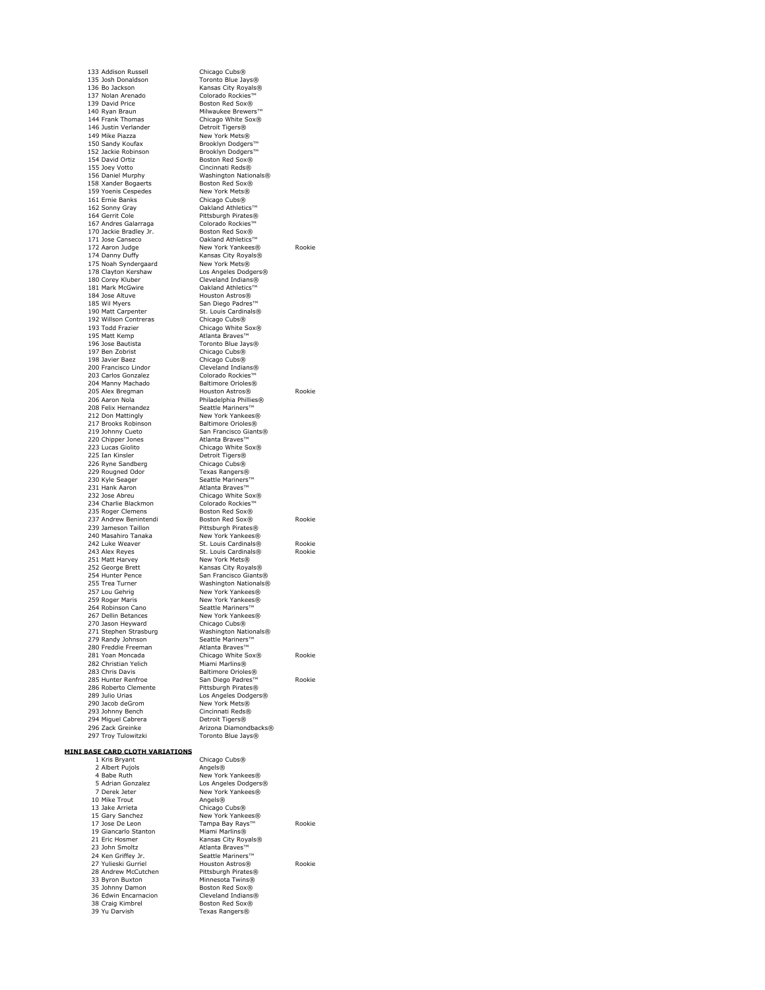133 Addison Russell<br>135 Josh Donaldson 133 Addison Russell<br>
135 Josh Donaldson<br>
136 Bo Jackson<br>
136 Bo Jackson<br>
136 Bo Jackson<br>
136 Bo Jackson 136 Bo Jackson Kansas City Royals®<br>137 Nolan Arenado **Colorado** Colorado Rockies™ 139 David Price Boston Red Sox®<br>140 Ryan Braun Milwaukee Brewer<br>144 Frank Thomas Chicago White So 146 Justin Verlander Detroit Tigers® 149 Mike Piazza New York Mets® 150 Sandy Koufax Brooklyn Dodgers™ 152 Jackie Robinson Brooklyn Dodgers™ 154 David Ortiz **Boston Red Sox®**<br>155 Joev Votto **Boston Cincinnati Reds**® 151 Bavid Britz<br>155 Joey Votto<br>156 Daniel Murphy 158 Xander Bogaerts Boston Red Sox®<br>159 Yoenis Cespedes New York Mets® 159 Yoenis Cespedes<br>159 Yoenis Cespedes<br>161 Frnie Banks 161 Ernie Banks<br>162 Sonny Gray Cakland Athletic 164 Gerrit Cole Pittsburgh Pirates®<br>167 Andres Galarraga Colorado Rockies™ 167 Andres Galarraga Colorado Rockies™ 170 Jackie Bradley Jr. Boston Red Sox® 171 Jose Canseco<br>172 Aaron Judge Mew York Yankees 175 Noah Syndergaard<br>178 Clayton Kershaw 175 Noah Syndergaard New York Mets®<br>178 Clayton Kershaw Los Angeles Dodgers®<br>180 Corey Kluber Cleveland Indians®<br>181 Mark McGwire Cleveland Indians® 180 Corey Kluber Cleveland Indians® 181 Mark McGwire Oakland Athletics™ 184 Jose Altuve Houston Astros®<br>185 Wil Myers San Diego Padres 190 Matt Carpenter St. Louis Cardinals®<br>192 Willson Contreras Chicago Cubs® 192 Willson Contreras<br>193 Todd Frazier 195 Matt Kemp<br>196 Jose Bautista 197 Ben Zobrist Chicago Cubs® 198 Javier Baez Chicago Cubs® 200 Francisco Lindor Cleveland Indians®<br>203 Carlos Gonzalez Colorado Rockies™ 203 Carlos Gonzalez Colorado Rockies™<br>204 Manny Machado Baltimore Orioles® 204 Manny Machado Baltimore Orioles<br>
205 Alex Bregman Bouston Astros® e alex Bregman Mathematic Houston Astros® Rookie<br>205 Alex Bregman Houston Astros® Rookie<br>206 Aaron Nola Mathematic Philadelphia Phillies® 208 Felix Hernandez Seattle Mariners™ 217 Brooks Robinson 219 Johnny Cueto<br>220 Chipper Jones<br>223 Lucas Giolito 223 Lucas Giolito Chicago White Sox®<br>225 Ian Kinsler Chicago Detroit Tigers® 226 Ryne Sandberg Chicago Cubs® 229 Rougned Odor 229 Rougned Odor<br>230 Kyle Seager Seattle Mariners™<br>231 Hank Aaron Atlanta Braves™<br>232 Jose Abreu Atlanta Braves™<br>232 Jose Abreu 231 Hank Aaron Atlanta Braves™ 232 Jose Abreu Chicago White Sox® 234 Charlie Blackmon Colorado Rockies™<br>235 Roger Clemens Boston Red Sox® 235 Roger Clemens and Boston Red Sox®<br>235 Roger Clemens Boston Red Sox®<br>237 Andrew Benintendi Boston Red Sox® 237 Andrew Benintendi Boston Red Sox® Rookie<br>239 Jameson Taillon Pittsburgh Pirates® Exercise Communisms<br>
239 Jameson Taillon Pittsburgh Pirates®<br>
240 Masahiro Tanaka New York Yankees® 240 Masahiro Tanaka<br>242 Luke Weaver 242 Luke Weaver St. Louis Cardinals® Rookie 243 Alex Reyes St. Louis Cardinals® Rookie<br>243 Alex Reyes St. Louis Cardinals® Rookie<br>251 Matt Harvey New York Mets® 251 Matt Harvey New York Mets®<br>252 George Brett Kansas City Roya 252 George Brett Kansas City Royals® 254 Hunter Pence San Francisco Giants® 257 Lou Gehrig New York Yankees® 259 Roger Maris<br>264 Robinson Cano<br>267 Dellin Betances 270 Jason Heyward Chicago Cubs® 271 Stephen Strasburg Washington Nationals® 279 Randy Johnson Namers™ Seattle Mariners™<br>280 Freddie Freeman Atlanta Braves™ 281 Yoan Moncada<br>282 Christian Yelich<br>283 Chris Davis 286 Roberto Clemente Pittsburgh Pirates® 290 Julio Urias<br>
290 Jacob deGrom New York Mets®<br>
290 Jacob deGrom New York Mets®<br>
293 Johnny Bench Cincinnati Reds® 293 Johnny Bench Cincinnati Reds® 294 Miguel Cabrera Detroit Tigers® 296 Zack Greinke Arizona Diamondbacks® 297 Troy Tulowitzki Toronto Blue Jays®

1375 Colorado Rockies™ Milwaukee Brewers™ Chicago White Sox®<br>Detroit Tigers®<br>New York Mets® Washington Nationals®<br>Boston Red Sox® Oakland Athletics™ 172 Aaron Judge New York Yankees® Rookie 174 Danny Duffy Kansas City Royals® 1865 Musical Musical Chicago White Sox® Atlanta Braves™<br>Toronto Blue Jays®<br>Chicago Cubs®<br>Chicago Cubs® Philadelphia Phillies® **222 Don Matthers**<br>212 New York Yankees® **219 San Francisco Giants®**<br>219 Atlanta Braves<sup>™</sup> Detroit Tigers® Washington Nationals® New York Yankees®<br>Seattle Mariners™ New York Yankees®<br>Chicago Cubs® 281 - 281 - 281 Chicago White Sox® Rookie<br>Miami Marlins® 283 Chris Davis Baltimore Orioles® 285 Hunter Renfroe San Diego Padres™ Rookie Los Angeles Dodgers®<br>New York Mets®

**MINI BASE CARD CLOTH VARIATIONS**

| New York Yankees®   |                                                                                                                                           |
|---------------------|-------------------------------------------------------------------------------------------------------------------------------------------|
|                     | Rookie                                                                                                                                    |
| Miami Marlins®      |                                                                                                                                           |
| Kansas City Royals® |                                                                                                                                           |
| Atlanta Braves™     |                                                                                                                                           |
| Seattle Mariners™   |                                                                                                                                           |
| Houston Astros®     | Rookie                                                                                                                                    |
| Pittsburgh Pirates® |                                                                                                                                           |
| Minnesota Twins®    |                                                                                                                                           |
| Boston Red Sox®     |                                                                                                                                           |
| Cleveland Indians®  |                                                                                                                                           |
| Boston Red Sox®     |                                                                                                                                           |
| Texas Rangers®      |                                                                                                                                           |
|                     | Chicago Cubs®<br>Angels®<br>New York Yankees®<br>Los Angeles Dodgers®<br>New York Yankees®<br>Angels®<br>Chicago Cubs®<br>Tampa Bay Rays™ |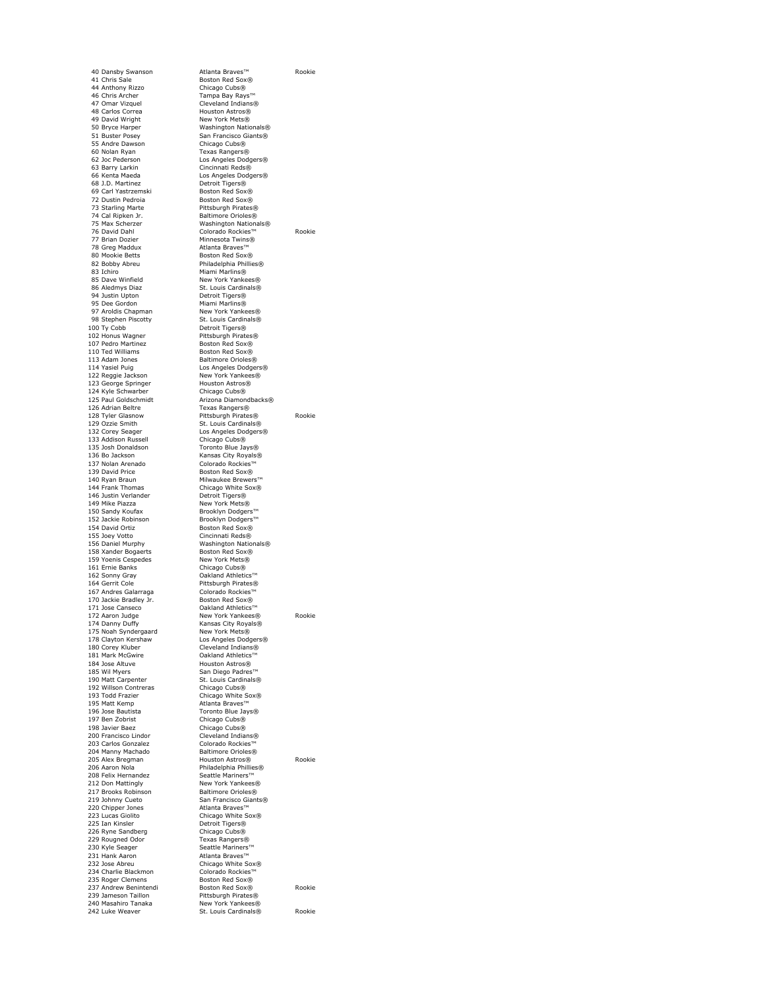44 Anthony Rizzo Chicago Cubs® 47 Omar Vizzuel<br>46 Chris Archer<br>47 Omar Vizquel Cleveland Indians®<br>49 Carols Corea<br>49 David Wright<br>49 David Wright<br>58 New York Mets® 48 Carlos Correa Houston Astros® 49 David Wright New York Mets® 50 Bryce Harper Washington Nationals® 51 Buster Posey San Francisco Giants® 55 Andre Dawson Chicago Cubs®<br>
60 Nolan Ryan Chicago Cubs® 62 Joc Pederson Los Angeles Dodgers® 63 Barry Larkin Cincinnati Reds® 66 Barry Larkin Cincinnati Reds®<br>66 Kenta Maeda Los Angeles Dodgers®<br>66 L.D. Martinez Detroit Tigers® 68 J.D. Martinez Detroit Tigers® 69 Carl Yastrzemski<br>69 Carl Yastrzemski<br>72 Dustin Pedroia 72 Dustin Pedroia **Boston Red Sox®**<br>73 Starling Marte **Boston Red Pittsburgh Pirates** 74 Cal Ripken Jr. Baltimore Orioles®<br>75 Max Scherzer Washington Nationa 75 Max Scherzer Washington Nationals® 77 Brian Dozier Minnesota Twins®<br>19 Greg Maddux Malanta Braves™ 80 Mookie Betts Boston Red Sox®<br>82 Bobby Abreu Boston Philadelphia Phillie 82 Bobby Abreu Philadelphia Phillies® 83 Ichiro Miami Marlins® 85 Dave Winfield New York Yankees®<br>86 Aledmys Diaz New York Cardinals® 94 Justin Upton Detroit Tigers®<br>95 Dee Gordon Miami Marlins® 97 Aroldis Chapman New York Yankees®<br>98 Stephen Piscotty St. Louis Cardinals® 98 Stephen Piscotty St. Louis Cardinals®<br>100 Ty Cobb 100 Ty Cobb Detroit Tigers® 102 Honus Wagner<br>107 Pedro Martinez<br>110 Ted Williams 110 Ted Williams Boston Red Sox®<br>113 Adam Jones Baltimore Orioles 113 Adam Jones **Baltimore Orioles®**<br>113 Adam Jones **Baltimore Orioles®**<br>114 Yasiel Puig **Los Angeles Dodge** 122 Reggie Jackson New York Yankee<br>123 George Springer Houston Astros® 123 George Springer Houston Astros® 124 Kyle Schwarber Chicago Cubs® 125 Paul Goldschmidt<br>125 Paul Goldschmidt Arizona Diamondbacks® 126 Adrian Beltre Texas Rangers®<br>128 Tyler Glasnow Tettsburgh Pirate 132 Corey Seager<br>133 Addison Russell<br>135 Josh Donaldson 135 Josh Donaldson Toronto Blue Jays®<br>136 Bo Jackson Mansas City Royals® 137 Nolan Arenado Colorado Rockies™<br>139 David Price Colores Boston Red Sox® 140 Ryan Braun Milwaukee Brewers 144 Frank Thomas<br>146 Justin Verlander<br>149 Mike Piazza 149 Mike Piazza New York Mets®<br>150 Sandy Koufax Brooklyn Dodgers™ 152 Jackie Robinson Brooklyn Dodgers™<br>154 David Ortiz Boston Red Sox® 154 David Ortiz Boston Red Sox® 155 Joey Votto<br>156 Daniel Murnhy 158 Xander Bogaerts Boston Red Sox®<br>159 Yoenis Cespedes Boston Red Sox®<br>159 Yoenis Cespedes Bow York Mets® 159 Yoenis Cespedes New York Mets®<br>161 Ernie Banks Chicago Cubs® 161 Ernie Banks Chicago Cubs®<br>162 Sonny Gray Calculation Chicago Cubs®<br>162 Sonny Gray Cakland Athletics™ 162 Sonny Gray<br>164 Gerrit Cole 167 Andres Galarraga Colorado Rockies™<br>170 Jackie Bradlev Jr. Boston Red Sox® 170 Jackie Bradley Jr.<br>171 Jose Canseco 171 Jose Canseco Cakland Athletics™<br>172 Aaron Judge Mew York Yankees 175 Noah Syndergaard<br>178 Clayton Kershaw 178 Clayton Kershaw Los Angeles Dodgers® 180 Corey Kluber Cleveland Indians® 181 Mark McGwire Oakland Athletics™ 184 Jose Altuve Houston Astros® 185 Wil Myers San Diego Padres™<br>190 Matt Carnenter St. Louis Cardinals® 190 Matt Carpenter St. Louis Cardin<br>192 Willson Contreras Chicago Cubs® 192 Willson Contreras<br>193 Todd Frazier<br>195 Matt Kemp 193 Todd Frazier Chicago White Sox®<br>195 Matt Kemp Chicago Atlanta Braves™ 196 Jose Bautista Toronto Blue Jays® 197 Ben Zobrist<br>198 Javier Baez 200 Francisco Lindor 203 Carlos Gonzalez Colorado Rockies™<br>204 Manny Machado Maltimore Orioles® 200 Adron Nold 212 Don Mattingly New York Yankees® 212 Bon Hattingry<br>217 Brooks Robinson<br>219 Johnny Cueto 220 Chipper Jones<br>223 Lucas Giolito 223 Lucas Giolito Chicago White Sox®<br>225 Ian Kinsler Detroit Tigers® 226 Ryne Sandberg 229 Rougned Odor Texas Rangers®<br>230 Kyle Seager Texas Reattle Mariners 230 Kyle Seager Seattle Mariners™<br>231 Hank Aaron Atlanta Braves™ 232 Jose Abreu Chicago White Sox® 234 Charlie Blackmon Colorado Rockies™ 239 Jameson Taillon Pittsburgh Pirates®<br>240 Masabiro Tanaka New York Yankees® 240 Masahiro Tanaka New York Yankees®

40 Dansby Swanson Atlanta Braves™ Rookie 41 Chris Sale Boston Red Sox® Tampa Bay Rays™ 60 Nolan Ryan Texas Rangers® Pittsburgh Pirates® 76 David Dahl Colorado Rockies™ Rookie Atlanta Braves™ 95 Dee Gordon Miami Marlins® Pittsburgh Pirates®<br>Boston Red Sox® Los Angeles Dodgers®<br>New York Yankees® 128 Tyler Glasnow Pittsburgh Pirates® Rookie 129 Ozzie Smith St. Louis Cardinals® 132 Corey Seager Chicago Cubs® Kansas City Royals® Boston Red Sox® Chicago White Sox®<br>Detroit Tigers® Washington Nationals®<br>Boston Red Sox® Pittsburgh Pirates® 172 Aaron Judge New York Yankees® Rookie Kansas City Royals®<br>New York Mets® Chicago Cubs®<br>Cleveland Indians® Baltimore Orioles®<br>Houston Astros® 205 Alex Bregman Houston Astros® Rookie Philadelphia Phillies®<br>Seattle Mariners™ **Baltimore Orioles®**<br>219 San Francisco Giants®<br>219 Atlanta Braves™ Detroit Tigers®<br>Chicago Cubs® 235 Roger Clemens Boston Red Sox® 237 Andrew Benintendi Boston Red Sox® Rookie 242 Luke Weaver St. Louis Cardinals® Rookie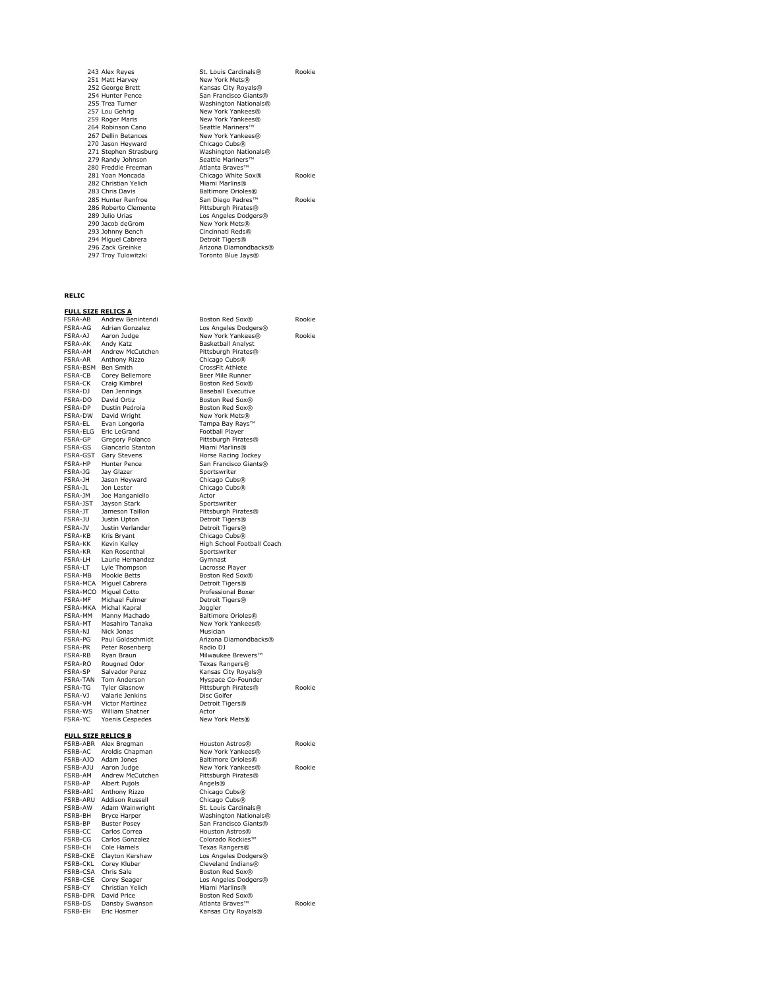| St. Louis Cardinals®  | Rookie |
|-----------------------|--------|
| New York Mets®        |        |
| Kansas City Royals®   |        |
| San Francisco Giants® |        |
| Washington Nationals® |        |
| New York Yankees®     |        |
| New York Yankees®     |        |
| Seattle Mariners™     |        |
| New York Yankees®     |        |
| Chicago Cubs®         |        |
| Washington Nationals® |        |
| Seattle Mariners™     |        |
| Atlanta Braves™       |        |
| Chicago White Sox®    | Rookie |
| Miami Marlins®        |        |
| Baltimore Orioles®    |        |
| San Diego Padres™     | Rookie |
| Pittsburgh Pirates®   |        |
| Los Angeles Dodgers®  |        |
| New York Mets®        |        |
| Cincinnati Reds®      |        |
| Detroit Tigers®       |        |
| Arizona Diamondbacks® |        |
| Toronto Blue Jays®    |        |
|                       |        |

### **RELIC**

# **FULL SIZE RELICS A**<br>**FSRA-AB** Andrew Be

FSRA-AG Adrian Gonzalez Los Angeles Dodgers®<br>FSRA-AJ Aaron Judge Hew York Yankees®<br>FSRA-AK Andy Katz Basketball Analyst FSRA-AJ Aaron Judge New York Yankees® Rookie FSRA-AK Andy Katz Basketball Analyst FSRA-AM Andrew McCutchen Pittsburgh Pirates®<br>FSRA-AR Anthony Rizzo Chicago Cubs® FSRA-AM Andrew McCutchen<br>FSRA-AR Anthony Rizzo<br>FSRA-BSM Ben Smith FSRA-BSM Ben Smith CrossFit Athlete FSRA-CB Corey Bellemore<br>FSRA-CK Craig Kimbrel FSRA-CK Craig Kimbrel Boston Red Sox®<br>FSRA-D1 Dan Jennings Baseball Executive FSRA-CK Craig Kimbrel<br>FSRA-DJ Dan Jennings<br>FSRA-DO David Ortiz FSRA-DP Dustin Pedroia<br>FSRA-DW David Wright New York Mets®<br>FSRA-EL Evan Longoria Bay Ranga Bay Rays<sup>T</sup> FSRA-EL Evan Longoria Tampa Bay Rays™<br>FSRA-ELG Eric LeGrand Football Player<br>FSRA-GP Gregory Polanco Pittsburgh Pirates Evan Europura<br>Eric LeGrand<br>Gregory Polanco FSRA-ELG Eric LeGrand<br>
Forball Player<br>
FSRA-GP Gregory Polanco Pittsburgh Pirates®<br>
FSRA-GS Giancarlo Stanton Miami Marlins® FSRA-GS Giancarlo Stanton<br>FSRA-GST Gary Stevens Gary Stevens **FRACE Horse Racing Jockey** FSRA-HP Hunter Pence San Francisco Giants®<br>FSRA-JG Jay Glazer San Sportswriter<br>FSRA-JH Jason Heyward Chicago Cubs® Jay Glazer Sportswriter<br>Jason Hevward Chicago Cubs FSRA-JH Jason Heyward Chicago Cubs®<br>FSRA-JL Jon Lester Chicago Cubs®<br>FSRA-JM Joe Manganiello Actor FSRA-JL Jon Lester Chicago Cubs® FSRA-JM Joe Manganiello Actor FSRA-JST Jayson Stark Sportswriter<br>FSRA-JT Jameson Taillon Pittsburgh Pi FSRA-JT Jameson Taillon Pittsburgh Pirates®<br>FSRA-JT Jameson Taillon Pittsburgh Pirates®<br>FSRA-JU Justin Upton Detroit Tigers® FSRA-JU Justin Upton Detroit Tigers® FSRA-JV Justin Verlander Detroit Tigers® FSRA-KB Kris Bryant Chicago Cubs® FSRA-KK Kevin Kelley High School Football Coach<br>FSRA-KR Ken Rosenthal Sportswriter FSRA-KR Kenn Rosenthal Sportswriter<br>FSRA-KR Ken Rosenthal Sportswriter<br>FSRA-I H Laurie Hernandez Gymnast FSRA-LH Laurie Hernandez Gymnast<br>FSRA-LT Lyle Thompson Lacrosse Player FSRA-LT Lyle Thompson<br>FSRA-MB Mookie Betts FSRA-MB Mookie Betts Boston Red Sox®<br>FSRA-MCA Miguel Cabrera Boston Detroit Tigers® FSRA-MCA Miguel Cabrera Detroit Tigers® **FSRA-MCO Miguel Cotto Professional Boxer**<br>FSRA-ME Michael Fulmer **Professional Boxer** FSRA-MF Michael Fulmer Detroit Tigers®<br>FSRA-MKA Michal Kapral Doggler FSRA-MKA Michal Kapral<br>FSRA-MM Manny Machado FSRA-MM Manny Machado Baltimore Orioles® FSRA-MT Masahiro Tanaka New York Yankees®<br>FSRA-N1 Nick Jonas Musician FSRA-NJ Nick Jonas<br>
FSRA-PG Paul Goldschmidt Arizona D<br>
FSRA-PR Peter Rosenberg Radio DJ FSRA-PR Peter Rosenberg<br>FSRA-RB Ryan Braun<br>FSRA-RO Rougned Odor FSRA-RB Ryan Braun Milwaukee Brewers™ FSRA-RO Rougned Odor Texas Rangers® FSRA-SP Salvador Perez Kansas City Royals®<br>FSRA-TAN Tom Anderson Myspace Co-Founder FSRA-TAN Tom Anderson Myspace Co-Founder FSRA-TG Tyler Glasnow Pittsburgh Pirates® Rookie Franchischer<br>Valarie Jenkins<br>Victor Martinez FSRA-VJ Victor Martinez Disc Golfer<br>FSRA-VM Victor Martinez Detroit Tigers®<br>FSRA-WS William Shatner Actor FSRA-WS William Shatner<br>FSRA-YC Yoenis Cespedes **FULL SIZE RELICS B** FSRB-ABR Alex Bregman Houston Astros® Rookie FSRB-AC Aroldis Chapman New York Yankees®<br>FSRB-AJO Adam Jones Baltimore Orioles® FSRB-AJO Adam Jones Baltimore Orioles®<br>FSRB-AJU Aaron Judge Baltimore Orioles®<br>FSRB-AJU Aaron Judge Bew York Yankees® FSRB-AJU Aaron Judge New York Yankees® Rookie FSRB-AP Albert Pujols Angels® FSRB-ARI Anthony Rizzo Chicago Cubs® FSRB-ARU Addison Russell Chicago Cubs® FSRB-AW Adam Wainwright St. Louis Cardinals®<br>FSRB-BH Bryce Harper Washington National FSRB-BH Bryce Harper<br>
FSRB-BP Buster Posey<br>
San Francisco Giants® FSRB-BP Buster Posey San Francisco Giants®<br>FSRB-CC Carlos Correa Sextern Houston Astros® FSRB-CG Carlos Gonzalez Colorado Rockies<br>FSRB-CH Cole Hamels Texas Rangers®<br>FSRB-CKE Clayton Kershaw Los Angeles Dodg France Concurer<br>Cole Hamels<br>Clayton Kershaw FSRB-CKE Clayton Kershaw Los Angeles Dodgers® FSRB-CSA Chris Sale Boston Red Sox®<br>FSRB-CSE Corey Seager Boston Red Sox®<br>FSRB-CSE Corey Seager Boston Red Sox® FSRB-CSE Corey Seager<br>FSRB-CSE Corey Seager Los Angeles Dodgers®<br>FSRB-CY Christian Yelich Miami Marlins® France Core<br>Christian Yelich

FSRA-AB Andrew Benintendi Boston Red Sox® Rookie<br>FSRA-AG Adrian Gonzalez Los Angeles Dodgers® Boston Red Sox® **New York Mets®** Frasician<br>Arizona Diamondbacks®<br>Radio DJ Actor<br>New York Mets® **Pittsburgh Pirates®** Houston Astros®

 $C$ leveland Indians®

FSRB-DPR David Price Boston Red Sox®<br>FSRB-DS Dansby Swanson Atlanta Braves™

FSRB-DS Dansby Swanson Atlanta Braves™ Rookie FSRB-EH Eric Hosmer Kansas City Royals®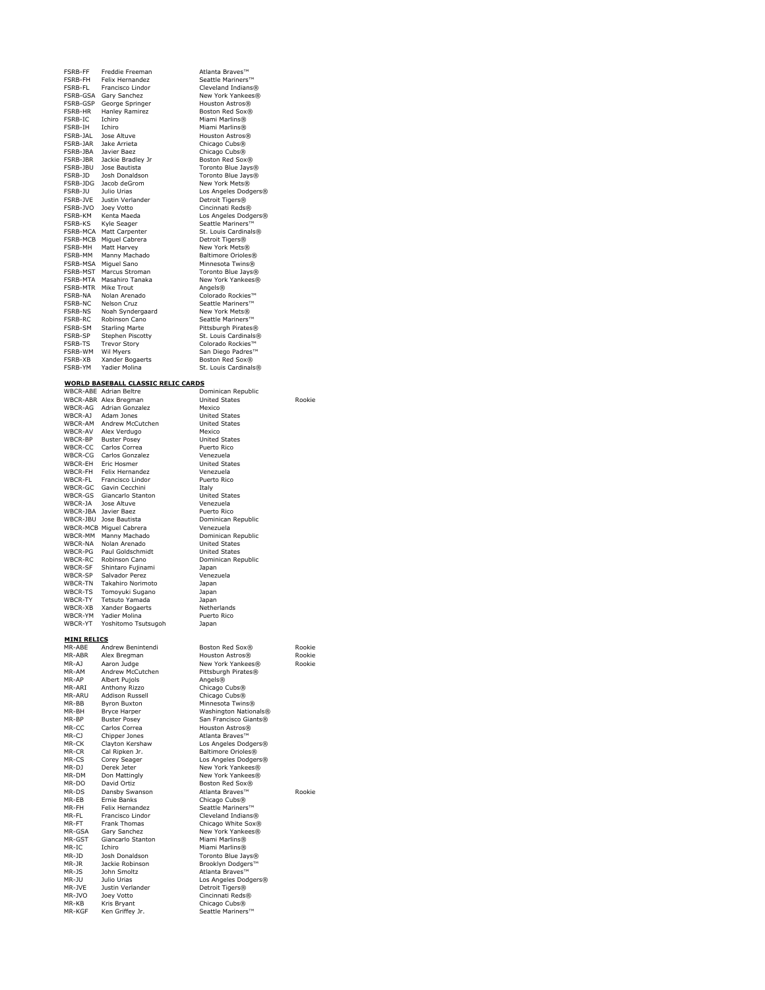| FSRB-FF              | Freddie Freeman                                                                                          | Atlanta Braves™                                |        |
|----------------------|----------------------------------------------------------------------------------------------------------|------------------------------------------------|--------|
|                      | FSRB-FH Felix Hernandez<br>FSRB-FL Francisco Lindor                                                      | Seattle Mariners™                              |        |
|                      | FSRB-GSA Gary Sanchez                                                                                    | Cleveland Indians®<br>New York Yankees®        |        |
|                      | FSRB-GSP George Springer                                                                                 | Houston Astros®                                |        |
|                      |                                                                                                          | Boston Red Sox®                                |        |
|                      |                                                                                                          | Miami Marlins®                                 |        |
|                      | FSRB-HR Hanley Ramirez<br>FSRB-HC Ichiro<br>FSRB-JAL Iose Altuve<br>FSRB-JAL Iose Altuve                 | Miami Marlins®<br>Houston Astros®              |        |
|                      | FSRB-JAR Jake Arrieta                                                                                    | Chicago Cubs <sup>®</sup>                      |        |
| FSRB-JBA Javier Baez |                                                                                                          | Chicago Cubs®                                  |        |
|                      | FSRB-JBR Jackie Bradley Jr                                                                               | Boston Red Sox®                                |        |
|                      | FSRB-JBU Jose Bautista<br>FSRB-JD Josh Donaldson                                                         | Toronto Blue Jays®                             |        |
|                      | FSRB-JDG Jacob deGrom                                                                                    | Toronto Blue Jays®<br>New York Mets®           |        |
|                      |                                                                                                          | Los Angeles Dodgers®                           |        |
|                      | FSRB-JU Julio Urias<br>FSRB-JVE Justin Verlander                                                         | Detroit Tigers®                                |        |
| FSRB-JVO Joey Votto  |                                                                                                          | Cincinnati Reds®                               |        |
|                      | FSRB-KM Kenta Maeda                                                                                      | Los Angeles Dodgers®                           |        |
|                      | FSRB-KS Kyle Seager<br>FSRB-MCA Matt Carpenter                                                           | Seattle Mariners™<br>St. Louis Cardinals®      |        |
|                      | FSRB-MCB Miguel Cabrera                                                                                  | Detroit Tigers®                                |        |
|                      | FSRB-MH Matt Harvey<br>FSRB-MM Manny Machado                                                             | New York Mets®                                 |        |
|                      |                                                                                                          | Baltimore Orioles®                             |        |
|                      | FSRB-MSA Miguel Sano<br>FSRB-MST Marcus Stroman                                                          | Minnesota Twins®                               |        |
|                      | FSRB-MTA Masahiro Tanaka                                                                                 | Toronto Blue Jays®<br>New York Yankees®        |        |
| FSRB-MTR Mike Trout  |                                                                                                          | Angels®                                        |        |
|                      | FSRB-NA Molan Arenado<br>FSRB-NA Molan Arenado<br>FSRB-NS Noah Syndergaard<br>FSRB-RC Robinson Cano      | Colorado Rockies™                              |        |
|                      |                                                                                                          | Seattle Mariners™                              |        |
|                      |                                                                                                          | New York Mets®                                 |        |
|                      | FSRB-SM Starling Marte                                                                                   | Seattle Mariners™<br>Pittsburgh Pirates®       |        |
|                      |                                                                                                          | St. Louis Cardinals®                           |        |
|                      | FSRB-SP Stephen Piscotty<br>FSRB-TS Trevor Story                                                         | Colorado Rockies™                              |        |
| FSRB-WM Wil Myers    |                                                                                                          | San Diego Padres™                              |        |
|                      | FSRB-XB<br>FSRB-XB Xander Bogaerts<br>FSRB-YM Yadier Molina                                              | Boston Red Sox®                                |        |
|                      |                                                                                                          | St. Louis Cardinals®                           |        |
|                      | <b>WORLD BASEBALL CLASSIC RELIC CARDS</b>                                                                |                                                |        |
|                      | WBCR-ABE Adrian Beltre                                                                                   | Dominican Republic                             |        |
|                      | WBCR-ABR Alex Bregman                                                                                    | <b>United States</b>                           | Rookie |
|                      | WBCR-AG Adrian Gonzalez<br>WBCR-AJ Adam Jones<br>WBCR-AM Andrew McCutchen                                | Mexico<br><b>United States</b>                 |        |
|                      |                                                                                                          | <b>United States</b>                           |        |
|                      |                                                                                                          | Mexico                                         |        |
|                      | WBCR-AV Alex Verdugo<br>WBCR-BP Buster Posey<br>WBCR-CC Carlos Correa                                    | <b>United States</b>                           |        |
|                      |                                                                                                          | Puerto Rico                                    |        |
|                      | WBCR-CG Carlos Gonzalez<br>WBCR-EH Eric Hosmer                                                           | Venezuela<br><b>United States</b>              |        |
|                      |                                                                                                          | Venezuela                                      |        |
|                      | WBCR-FH<br>WBCR-FL<br>Francisco Lindor<br>WBCR-GC<br>Gavin Cecchini                                      | Puerto Rico                                    |        |
|                      |                                                                                                          | Italy                                          |        |
| WBCR-JA Jose Altuve  | WBCR-GS Giancarlo Stanton                                                                                | <b>United States</b><br>Venezuela              |        |
| WBCR-JBA Javier Baez |                                                                                                          | Puerto Rico                                    |        |
|                      | WBCR-JBU Jose Bautista                                                                                   | Dominican Republic                             |        |
|                      | <b>WBCR-MCB Miguel Cabrera</b>                                                                           | Venezuela                                      |        |
|                      | WBCR-MM Manny Machado                                                                                    | Dominican Republic                             |        |
|                      | WBCR-NA Nolan Arenado                                                                                    | <b>United States</b><br><b>United States</b>   |        |
|                      | WBCR-PG Paul Goldschmidt<br>WBCR-RC Robinson Cano<br>WBCR-SF Shintaro Fujinami<br>WBCR-SP Salvador Perez | Dominican Republic                             |        |
|                      |                                                                                                          | Japan                                          |        |
|                      |                                                                                                          | Venezuela                                      |        |
|                      | WBCR-TN Takahiro Norimoto                                                                                | Japan                                          |        |
|                      | WBCR-TS Tomoyuki Sugano<br>WBCR-TY Tetsuto Yamada                                                        | Japan<br>Japan                                 |        |
|                      | WBCR-XB Xander Bogaerts                                                                                  | Netherlands                                    |        |
|                      | WBCR-YM Yadier Molina                                                                                    | Puerto Rico                                    |        |
|                      | WBCR-YT Yoshitomo Tsutsugoh                                                                              | Japan                                          |        |
| <b>MINI RELICS</b>   |                                                                                                          |                                                |        |
|                      | MR-ABE Andrew Benintendi                                                                                 | Boston Red Sox®                                | Rookie |
| MR-ABR               | Alex Bregman                                                                                             | Houston Astros®                                | Rookie |
| MR-AJ                | Aaron Judge                                                                                              | New York Yankees®                              | Rookie |
| MR-AM<br>MR-AP       | Andrew McCutchen<br>Albert Pujols                                                                        | Pittsburgh Pirates®<br>Angels®                 |        |
| MR-ARI               | Anthony Rizzo                                                                                            | Chicago Cubs <sup>®</sup>                      |        |
| MR-ARU               | <b>Addison Russell</b>                                                                                   | Chicago Cubs®                                  |        |
| MR-BB                | <b>Byron Buxton</b>                                                                                      | Minnesota Twins®                               |        |
| MR-BH                | Bryce Harper                                                                                             | Washington Nationals®                          |        |
| MR-BP<br>MR-CC       | <b>Buster Posey</b><br>Carlos Correa                                                                     | San Francisco Giants®<br>Houston Astros®       |        |
| MR-CJ                | Chipper Jones                                                                                            | Atlanta Braves™                                |        |
| MR-CK                | Clayton Kershaw                                                                                          | Los Angeles Dodgers®                           |        |
| MR-CR                | Cal Ripken Jr.                                                                                           | Baltimore Orioles®                             |        |
| $MR-CS$              | Corey Seager<br>Derek Jeter                                                                              | Los Angeles Dodgers®                           |        |
| MR-DJ<br>MR-DM       | Don Mattingly                                                                                            | New York Yankees®<br>New York Yankees®         |        |
| MR-DO                | David Ortiz                                                                                              | Boston Red Sox®                                |        |
|                      | Dansby Swanson                                                                                           | Atlanta Braves™                                | Rookie |
| MR-DS                |                                                                                                          | Chicago Cubs <sup>®</sup>                      |        |
| MR-EB                | Ernie Banks                                                                                              |                                                |        |
| MR-FH                | Felix Hernandez                                                                                          | Seattle Mariners™                              |        |
| MR-FL<br>MR-FT       | Francisco Lindor                                                                                         | Cleveland Indians®                             |        |
| MR-GSA               | Frank Thomas<br>Gary Sanchez                                                                             | Chicago White Sox®<br>New York Yankees®        |        |
| MR-GST               | Giancarlo Stanton                                                                                        | Miami Marlins®                                 |        |
| MR-IC                | Ichiro                                                                                                   | Miami Marlins®                                 |        |
| MR-JD                | Josh Donaldson                                                                                           | Toronto Blue Jays®                             |        |
| MR-JR<br>MR-JS       | Jackie Robinson<br>John Smoltz                                                                           | Brooklyn Dodgers™<br>Atlanta Braves™           |        |
| MR-JU                | Julio Urias                                                                                              | Los Angeles Dodgers®                           |        |
| MR-JVE               | Justin Verlander                                                                                         | Detroit Tigers®                                |        |
| MR-JVO               | Joey Votto                                                                                               | Cincinnati Reds®                               |        |
| MR-KB<br>MR-KGF      | Kris Bryant<br>Ken Griffey Jr.                                                                           | Chicago Cubs <sup>®</sup><br>Seattle Mariners™ |        |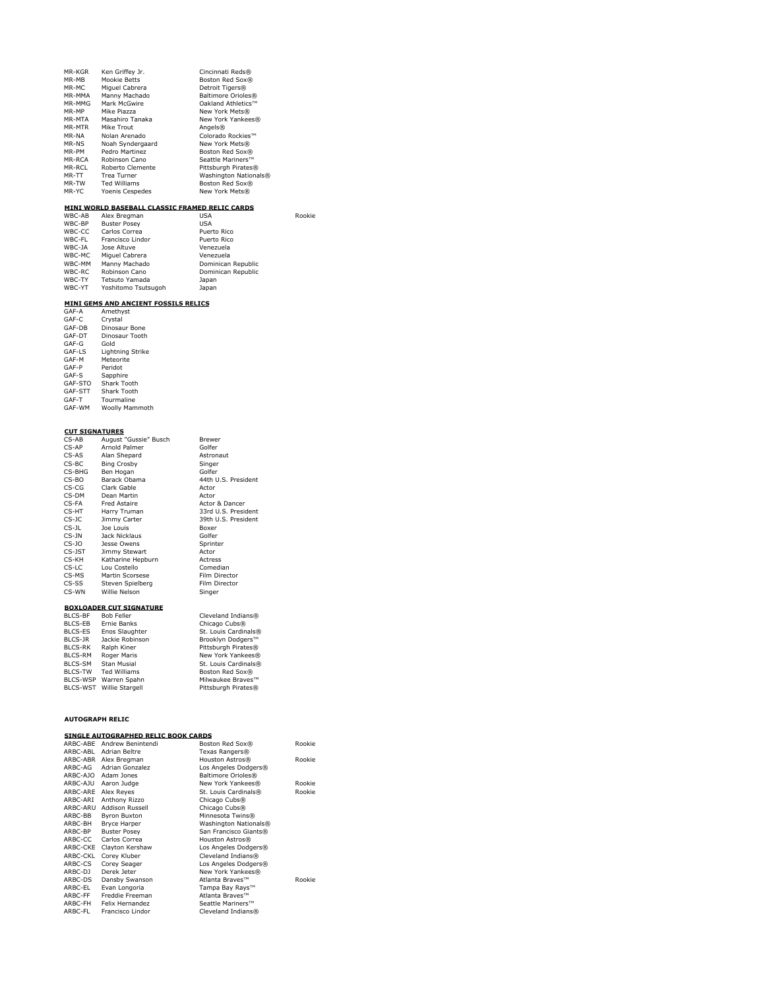| MR-KGR | Ken Griffey Jr.  | Cincinnati Reds®      |
|--------|------------------|-----------------------|
| MR-MB  | Mookie Betts     | Boston Red Sox®       |
| MR-MC  | Miguel Cabrera   | Detroit Tigers®       |
| MR-MMA | Manny Machado    | Baltimore Orioles®    |
| MR-MMG | Mark McGwire     | Oakland Athletics™    |
| MR-MP  | Mike Piazza      | New York Mets®        |
| MR-MTA | Masahiro Tanaka  | New York Yankees®     |
| MR-MTR | Mike Trout       | Angels®               |
| MR-NA  | Nolan Arenado    | Colorado Rockies™     |
| MR-NS  | Noah Syndergaard | New York Mets®        |
| MR-PM  | Pedro Martinez   | Boston Red Sox®       |
| MR-RCA | Robinson Cano    | Seattle Mariners™     |
| MR-RCI | Roberto Clemente | Pittsburgh Pirates®   |
| MR-TT  | Trea Turner      | Washington Nationals® |
| MR-TW  | Ted Williams     | Boston Red Sox®       |
| MR-YC  | Yoenis Cespedes  | New York Mets®        |

### **MINI WORLD BASEBALL CLASSIC FRAMED RELIC CARDS**

| WBC-AB | Alex Bregman        | <b>USA</b>         | Rookie |
|--------|---------------------|--------------------|--------|
| WBC-BP | <b>Buster Posey</b> | <b>USA</b>         |        |
| WBC-CC | Carlos Correa       | Puerto Rico        |        |
| WBC-FL | Francisco Lindor    | Puerto Rico        |        |
| WBC-JA | Jose Altuve         | Venezuela          |        |
| WBC-MC | Miguel Cabrera      | Venezuela          |        |
| WBC-MM | Manny Machado       | Dominican Republic |        |
| WBC-RC | Robinson Cano       | Dominican Republic |        |
| WBC-TY | Tetsuto Yamada      | Japan              |        |
| WBC-YT | Yoshitomo Tsutsugoh | Japan              |        |

# **MINI GEMS AND ANCIENT FOSSILS RELICS** GAF-A Amethyst

| <b>1785-8</b> | AILIELIIYSL      |
|---------------|------------------|
| GAF-C         | Crystal          |
| GAF-DB        | Dinosaur Bone    |
| GAF-DT        | Dinosaur Tooth   |
| GAF-G         | Gold             |
| GAF-LS        | Lightning Strike |
| GAF-M         | Meteorite        |
| GAF-P         | Peridot          |
| GAF-S         | Sapphire         |
| GAF-STO       | Shark Tooth      |
| GAF-STT       | Shark Tooth      |
| GAF-T         | Tourmaline       |
| GAF-WM        | Woolly Mammoth   |
|               |                  |

# **CUT SIGNATURES** CS-AB August "Gussie" Busch Brewer

| שה ש           | August Gussic Duschi           |                           |
|----------------|--------------------------------|---------------------------|
| $CS-AP$        | Arnold Palmer                  | Golfer                    |
| $CS-AS$        | Alan Shepard                   | Astronaut                 |
| CS-BC          | <b>Bing Crosby</b>             | Singer                    |
| CS-BHG         | Ben Hogan                      | Golfer                    |
| CS-BO          | Barack Obama                   | 44th U.S. President       |
| CS-CG          | Clark Gable                    | Actor                     |
| CS-DM          | Dean Martin                    | Actor                     |
| CS-FA          | <b>Fred Astaire</b>            | Actor & Dancer            |
| CS-HT          | Harry Truman                   | 33rd U.S. President       |
| $CS-JC$        | Jimmy Carter                   | 39th U.S. President       |
| $CS-11$        | loe Louis                      | Boxer                     |
| CS-JN          | Jack Nicklaus                  | Golfer                    |
| $CS-JO$        | Jesse Owens                    | Sprinter                  |
| CS-JST         | Jimmy Stewart                  | Actor                     |
| CS-KH          | Katharine Hepburn              | <b>Actress</b>            |
| CS-LC          | Lou Costello                   | Comedian                  |
| CS-MS          | Martin Scorsese                | Film Director             |
| CS-SS          | Steven Spielberg               | Film Director             |
| CS-WN          | Willie Nelson                  | Singer                    |
|                | <b>BOXLOADER CUT SIGNATURE</b> |                           |
| <b>BLCS-BF</b> | <b>Bob Feller</b>              | Cleveland Indians®        |
| BLCS-EB        | <b>Frnie Banks</b>             | Chicago Cubs <sup>®</sup> |
| BLCS-ES        | Enos Slaughter                 | St. Louis Cardinals®      |
| BLCS-JR        | Jackie Robinson                | Brooklyn Dodgers™         |
| <b>BICS-RK</b> | Ralph Kiner                    | Pittsburgh Pirates®       |

| BLCS-ES        | Enos Slaughter           | St. Louis Cardinals® |
|----------------|--------------------------|----------------------|
| BLCS-JR        | Jackie Robinson          | Brooklyn Dodgers™    |
| <b>BLCS-RK</b> | Ralph Kiner              | Pittsburgh Pirates®  |
| BI CS-RM       | Roger Maris              | New York Yankees®    |
| BI CS-SM       | <b>Stan Musial</b>       | St. Louis Cardinals® |
| BI CS-TW       | <b>Ted Williams</b>      | Boston Red Sox®      |
|                | BLCS-WSP Warren Spahn    | Milwaukee Braves™    |
|                | BLCS-WST Willie Stargell | Pittsburgh Pirates®  |
|                |                          |                      |

### **AUTOGRAPH RELIC**

# **SINGLE AUTOGRAPHED RELIC BOOK CARDS**

| ARBC-ABF | Andrew Benintendi      | Boston Red Sox®       | Rookie |
|----------|------------------------|-----------------------|--------|
| ARBC-ABL | Adrian Beltre          | Texas Rangers®        |        |
| ARBC-ABR | Alex Bregman           | Houston Astros®       | Rookie |
| ARBC-AG  | Adrian Gonzalez        | Los Angeles Dodgers®  |        |
| ARBC-AJO | Adam Jones             | Baltimore Orioles®    |        |
| ARBC-AJU | Aaron Judge            | New York Yankees®     | Rookie |
| ARBC-ARE | Alex Reyes             | St. Louis Cardinals®  | Rookie |
| ARBC-ARI | Anthony Rizzo          | Chicago Cubs®         |        |
| ARBC-ARU | <b>Addison Russell</b> | Chicago Cubs®         |        |
| ARBC-BB  | <b>Byron Buxton</b>    | Minnesota Twins®      |        |
| ARBC-BH  | Bryce Harper           | Washington Nationals® |        |
| ARBC-BP  | <b>Buster Posey</b>    | San Francisco Giants® |        |
| ARBC-CC  | Carlos Correa          | Houston Astros®       |        |
| ARBC-CKE | Clayton Kershaw        | Los Angeles Dodgers®  |        |
| ARBC-CKL | Corey Kluber           | Cleveland Indians®    |        |
| ARBC-CS  | Corey Seager           | Los Angeles Dodgers®  |        |
| ARBC-DJ  | Derek Jeter            | New York Yankees®     |        |
| ARBC-DS  | Dansby Swanson         | Atlanta Braves™       | Rookie |
| ARBC-EL  | Evan Longoria          | Tampa Bay Rays™       |        |
| ARBC-FF  | Freddie Freeman        | Atlanta Braves™       |        |
| ARBC-FH  | Felix Hernandez        | Seattle Mariners™     |        |
| ARBC-FL  | Francisco Lindor       | Cleveland Indians®    |        |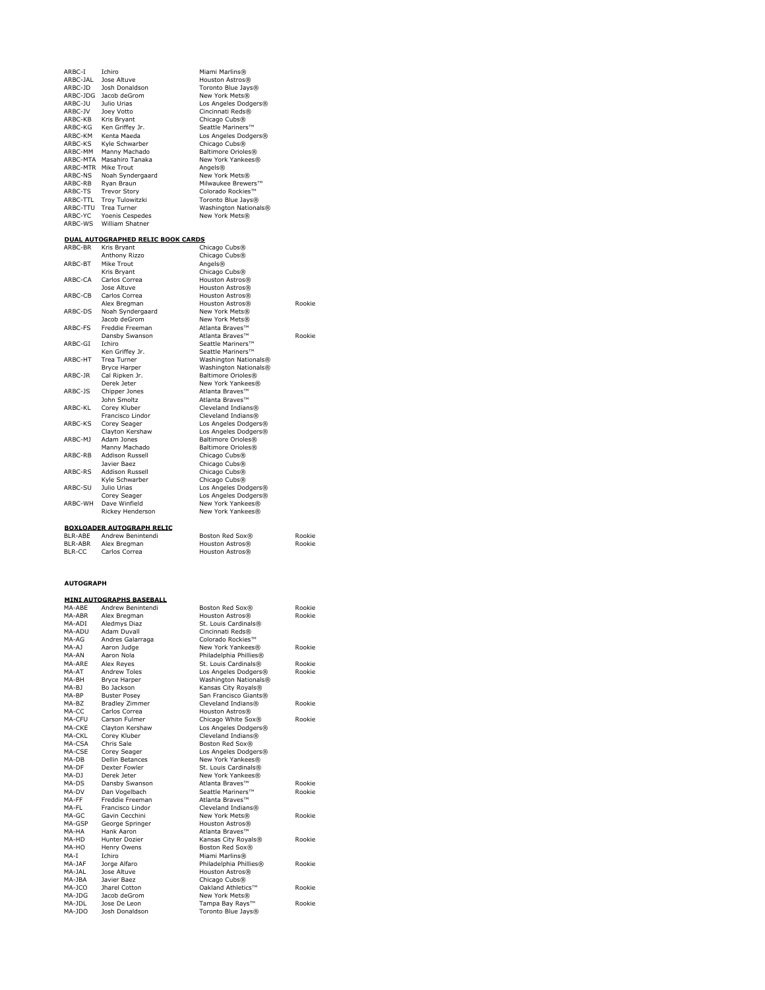ARBC-I Ichiro Miami Marlins® ARBC-JAL Jose Altuve Houston Astros® ARBC-JD Josh Donaldson Toronto Blue Jays® ARBC-JDG Jacob deGrom New York Mets® ARBC-JU Julio Urias Los Angeles Dodgers® ARBC-JV Joey Votto Cincinnati Reds® ARBC-KB Kris Bryant<br>
ARBC-KG Ken Griffey Jr. Scattle Mainters<sup>194</sup><br>
ARBC-KG Ken Griffey Jr. Scattle Mainters<sup>194</sup><br>
ARBC-KM Kenta Madad<br>
ARBC-MTA Masahiro Tanaka<br>
ARBC-MTA Masahiro Tanaka<br>
ARBC-MTA Masahiro Tanaka<br>
ARBC-MTA

### **DUAL AUTOGRAPHED RELIC BOOK CARDS**

| ARBC-BR       | Kris Bryant                      | Chicago Cubs®         |        |
|---------------|----------------------------------|-----------------------|--------|
|               | Anthony Rizzo                    | Chicago Cubs®         |        |
| ARBC-BT       | Mike Trout                       | Angels®               |        |
|               | Kris Brvant                      | Chicago Cubs®         |        |
| ARBC-CA       | Carlos Correa                    | Houston Astros®       |        |
|               | lose Altuve                      | Houston Astros®       |        |
| ARBC-CB       | Carlos Correa                    | Houston Astros®       |        |
|               | Alex Bregman                     | Houston Astros®       | Rookie |
| ARBC-DS       | Noah Syndergaard                 | New York Mets®        |        |
|               | Jacob deGrom                     | New York Mets®        |        |
| ARBC-FS       | Freddie Freeman                  | Atlanta Braves™       |        |
|               | Dansby Swanson                   | Atlanta Braves™       | Rookie |
| ARBC-GI       | <b>Ichiro</b>                    | Seattle Mariners™     |        |
|               | Ken Griffey Jr.                  | Seattle Mariners™     |        |
| ARBC-HT       | <b>Trea Turner</b>               | Washington Nationals® |        |
|               | <b>Bryce Harper</b>              | Washington Nationals® |        |
| ARBC-JR       | Cal Ripken Jr.                   | Baltimore Orioles®    |        |
|               | Derek leter                      | New York Yankees®     |        |
| ARBC-1S       | Chipper Jones                    | Atlanta Braves™       |        |
|               | John Smoltz                      | Atlanta Braves™       |        |
| ARBC-KL       | Corey Kluber                     | Cleveland Indians®    |        |
|               | Francisco Lindor                 | Cleveland Indians®    |        |
| ARBC-KS       | Corey Seager                     | Los Angeles Dodgers®  |        |
|               | Clayton Kershaw                  | Los Angeles Dodgers®  |        |
| ARBC-M1       | Adam Jones                       | Baltimore Orioles®    |        |
|               | Manny Machado                    | Baltimore Orioles®    |        |
| ARBC-RB       | Addison Russell                  | Chicago Cubs®         |        |
|               | Javier Baez                      | Chicago Cubs®         |        |
| ARBC-RS       | Addison Russell                  | Chicago Cubs®         |        |
|               | Kvle Schwarber                   | Chicago Cubs®         |        |
| ARBC-SU       | Julio Urias                      | Los Angeles Dodgers®  |        |
|               | Corey Seager                     | Los Angeles Dodgers®  |        |
| ARBC-WH       | Dave Winfield                    | New York Yankees®     |        |
|               | <b>Rickey Henderson</b>          | New York Yankees®     |        |
|               | <b>BOXLOADER AUTOGRAPH RELIC</b> |                       |        |
| BI R-ABF      | Andrew Benintendi                | Boston Red Sox®       | Rookie |
| BI R-ABR      | Alex Breaman                     | Houston Astros®       | Rookie |
| <b>BLR-CC</b> | Carlos Correa                    | Houston Astros®       |        |

### **AUTOGRAPH**

|        | <u>MINI AUTOGRAPHS BASEBALL</u> |                           |        |
|--------|---------------------------------|---------------------------|--------|
| MA-ABF | Andrew Benintendi               | Boston Red Sox®           | Rookie |
| MA-ABR | Alex Bregman                    | Houston Astros®           | Rookie |
| MA-ADI | Aledmys Diaz                    | St. Louis Cardinals®      |        |
| MA-ADU | <b>Adam Duvall</b>              | Cincinnati Reds®          |        |
| MA-AG  | Andres Galarraga                | Colorado Rockies™         |        |
| MA-AJ  | Aaron Judge                     | New York Yankees®         | Rookie |
| MA-AN  | Aaron Nola                      | Philadelphia Phillies®    |        |
| MA-ARF | Alex Reyes                      | St. Louis Cardinals®      | Rookie |
| MA-AT  | <b>Andrew Toles</b>             | Los Angeles Dodgers®      | Rookie |
| MA-BH  | <b>Bryce Harper</b>             | Washington Nationals®     |        |
| MA-BI  | Bo Jackson                      | Kansas City Royals®       |        |
| MA-BP  | <b>Buster Posev</b>             | San Francisco Giants®     |        |
| MA-BZ  | <b>Bradley Zimmer</b>           | Cleveland Indians®        | Rookie |
| MA-CC  | Carlos Correa                   | Houston Astros®           |        |
| MA-CFU | Carson Fulmer                   | Chicago White Sox®        | Rookie |
| MA-CKE | Clayton Kershaw                 | Los Angeles Dodgers®      |        |
| MA-CKL | Corey Kluber                    | Cleveland Indians®        |        |
| MA-CSA | Chris Sale                      | Boston Red Sox®           |        |
| MA-CSE | Corey Seager                    | Los Angeles Dodgers®      |        |
| MA-DB  | <b>Dellin Betances</b>          | New York Yankees®         |        |
| MA-DF  | Dexter Fowler                   | St. Louis Cardinals®      |        |
| MA-D1  | Derek leter                     | New York Yankees®         |        |
| MA-DS  | Dansby Swanson                  | Atlanta Braves™           | Rookie |
| MA-DV  | Dan Vogelbach                   | Seattle Mariners™         | Rookie |
| MA-FF  | Freddie Freeman                 | Atlanta Braves™           |        |
| MA-FL  | Francisco Lindor                | Cleveland Indians®        |        |
| MA-GC  | Gavin Cecchini                  | New York Mets®            | Rookie |
| MA-GSP | George Springer                 | Houston Astros®           |        |
| MA-HA  | Hank Aaron                      | Atlanta Braves™           |        |
| MA-HD  | Hunter Dozier                   | Kansas City Royals®       | Rookie |
| MA-HO  | Henry Owens                     | Boston Red Sox®           |        |
| MA-T   | <b>Ichiro</b>                   | Miami Marlins®            |        |
| MA-1AF | Jorge Alfaro                    | Philadelphia Phillies®    | Rookie |
| MA-JAL | <b>lose Altuve</b>              | Houston Astros®           |        |
| MA-1BA | Javier Baez                     | Chicago Cubs <sup>®</sup> |        |
| MA-JCO | <b>Iharel Cotton</b>            | Oakland Athletics™        | Rookie |
| MA-JDG | Jacob deGrom                    | New York Mets®            |        |
| MA-IDI | Jose De Leon                    | Tampa Bay Rays™           | Rookie |
| MA-JDO | Josh Donaldson                  | Toronto Blue Jays®        |        |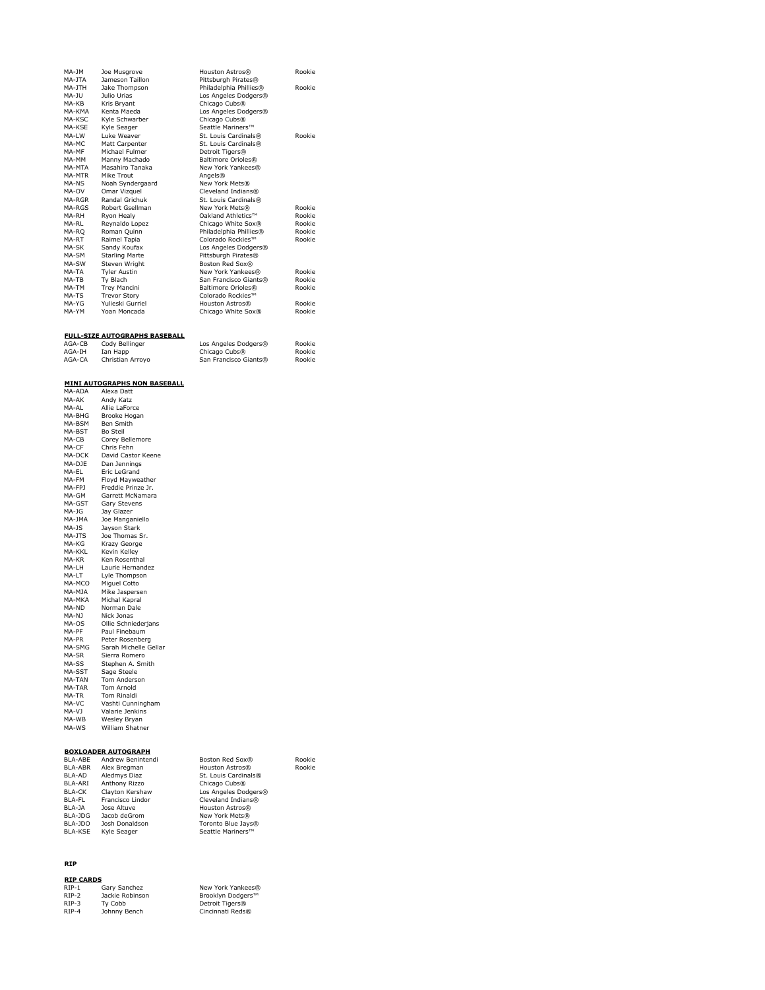| $MA-1M$  | Joe Musgrove          | Houston Astros®           | Rookie |
|----------|-----------------------|---------------------------|--------|
| MA-1TA   | Jameson Taillon       | Pittsburgh Pirates®       |        |
| MA-1TH   | Jake Thompson         | Philadelphia Phillies®    | Rookie |
| $MA-11J$ | Julio Urias           | Los Angeles Dodgers®      |        |
| MA-KB    | Kris Bryant           | Chicago Cubs®             |        |
| MA-KMA   | Kenta Maeda           | Los Angeles Dodgers®      |        |
| MA-KSC   | Kyle Schwarber        | Chicago Cubs <sup>®</sup> |        |
| MA-KSE   | Kyle Seager           | Seattle Mariners™         |        |
| MA-IW    | <b>Luke Weaver</b>    | St. Louis Cardinals®      | Rookie |
| MA-MC    | Matt Carpenter        | St. Louis Cardinals®      |        |
| MA-MF    | Michael Fulmer        | Detroit Tigers®           |        |
| MA-MM    | Manny Machado         | Baltimore Orioles®        |        |
| MA-MTA   | Masahiro Tanaka       | New York Yankees®         |        |
| MA-MTR   | Mike Trout            | Angels®                   |        |
| MA-NS    | Noah Syndergaard      | New York Mets®            |        |
| MA-OV    | Omar Vizquel          | Cleveland Indians®        |        |
| MA-RGR   | Randal Grichuk        | St. Louis Cardinals®      |        |
| MA-RGS   | Robert Gsellman       | New York Mets®            | Rookie |
| MA-RH    | Ryon Healy            | Oakland Athletics™        | Rookie |
| MA-RI    | Reynaldo Lopez        | Chicago White Sox®        | Rookie |
| MA-RO    | Roman Quinn           | Philadelphia Phillies®    | Rookie |
| MA-RT    | Raimel Tapia          | Colorado Rockies™         | Rookie |
| MA-SK    | Sandy Koufax          | Los Angeles Dodgers®      |        |
| MA-SM    | <b>Starling Marte</b> | Pittsburgh Pirates®       |        |
| MA-SW    | Steven Wright         | Boston Red Sox®           |        |
| MA-TA    | <b>Tyler Austin</b>   | New York Yankees®         | Rookie |
| MA-TB    | Ty Blach              | San Francisco Giants®     | Rookie |
| MA-TM    | <b>Trey Mancini</b>   | Baltimore Orioles®        | Rookie |
| MA-TS    | <b>Trevor Story</b>   | Colorado Rockies™         |        |
| MA-YG    | Yulieski Gurriel      | Houston Astros®           | Rookie |
| MA-YM    | Yoan Moncada          | Chicago White Sox®        | Rookie |

### **FULL-SIZE AUTOGRAPHS BASEBALL**

| AGA-CB | Cody Bellinger   | Los Angeles Dodgers®  | Rookie |
|--------|------------------|-----------------------|--------|
| AGA-IH | Ian Happ         | Chicago Cubs®         | Rookie |
| AGA-CA | Christian Arrovo | San Francisco Giants® | Rookie |

# **MINI AUTOGRAPHS NON BASEBALL** MA-ADA Alexa Datt

| חשה הוו       | אוכגע בענ             |
|---------------|-----------------------|
| MA-AK         | Andy Katz             |
| MA-AL         | Allie LaForce         |
| MA-BHG        | Brooke Hogan          |
| MA-BSM        | Ben Smith             |
| MA-BST        | Bo Steil              |
| MA-CB         | Corey Bellemore       |
| MA-CF         | Chris Fehn            |
| MA-DCK        | David Castor Keene    |
| MA-DJE        | Dan Jennings          |
| MA-EL         | Eric LeGrand          |
| MA-FM         | Floyd Mayweather      |
| MA-FPJ        | Freddie Prinze Jr.    |
| MA-GM         | Garrett McNamara      |
| MA-GST        | Gary Stevens          |
| MA-JG         | Jay Glazer            |
| MA-JMA        | Joe Manganiello       |
| MA-JS         | Jayson Stark          |
| MA-JTS        | Joe Thomas Sr.        |
| MA-KG         | Krazy George          |
| <b>MA-KKL</b> | Kevin Kelley          |
| MA-KR         | Ken Rosenthal         |
| MA-LH         | Laurie Hernandez      |
| MA-LT         | Lyle Thompson         |
| MA-MCO        | Miguel Cotto          |
| MA-MJA        | Mike Jaspersen        |
| MA-MKA        | Michal Kapral         |
| MA-ND         | Norman Dale           |
| MA-NJ         | Nick Jonas            |
| MA-OS         | Ollie Schniederjans   |
| MA-PF         | Paul Finebaum         |
| MA-PR         | Peter Rosenberg       |
| MA-SMG        | Sarah Michelle Gellar |
| MA-SR         | Sierra Romero         |
| MA-SS         | Stephen A. Smith      |
| MA-SST        | Sage Steele           |
| MA-TAN        | Tom Anderson          |
| MA-TAR        | <b>Tom Arnold</b>     |
| MA-TR         | <b>Tom Rinaldi</b>    |
| MA-VC         | Vashti Cunningham     |
| MA-VJ         | Valarie Jenkins       |
| MA-WB         | Wesley Bryan          |
| MA-WS         | William Shatner       |
|               |                       |

### **BOXLOADER AUTOGRAPH**

| BLA-ABE | Andrew Benintendi | Boston Red Sox®      | Rookie |  |
|---------|-------------------|----------------------|--------|--|
| BLA-ABR | Alex Bregman      | Houston Astros®      | Rookie |  |
| BLA-AD  | Aledmys Diaz      | St. Louis Cardinals® |        |  |
| BLA-ARI | Anthony Rizzo     | Chicago Cubs®        |        |  |
| BLA-CK  | Clayton Kershaw   | Los Angeles Dodgers® |        |  |
| BLA-FL  | Francisco Lindor  | Cleveland Indians®   |        |  |
| BLA-JA  | Jose Altuve       | Houston Astros®      |        |  |
| BLA-JDG | Jacob deGrom      | New York Mets®       |        |  |
| BLA-JDO | Josh Donaldson    | Toronto Blue Jays®   |        |  |
| BLA-KSE | Kyle Seager       | Seattle Mariners™    |        |  |

### **RIP**

| <b>RIP CARDS</b> |                 |                   |
|------------------|-----------------|-------------------|
| $RIP-1$          | Gary Sanchez    | New York Yankees® |
| RTP-2            | Jackie Robinson | Brooklyn Dodgers™ |
| $RIP-3$          | Tv Cobb         | Detroit Tigers®   |
| RTP-4            | Johnny Bench    | Cincinnati Reds®  |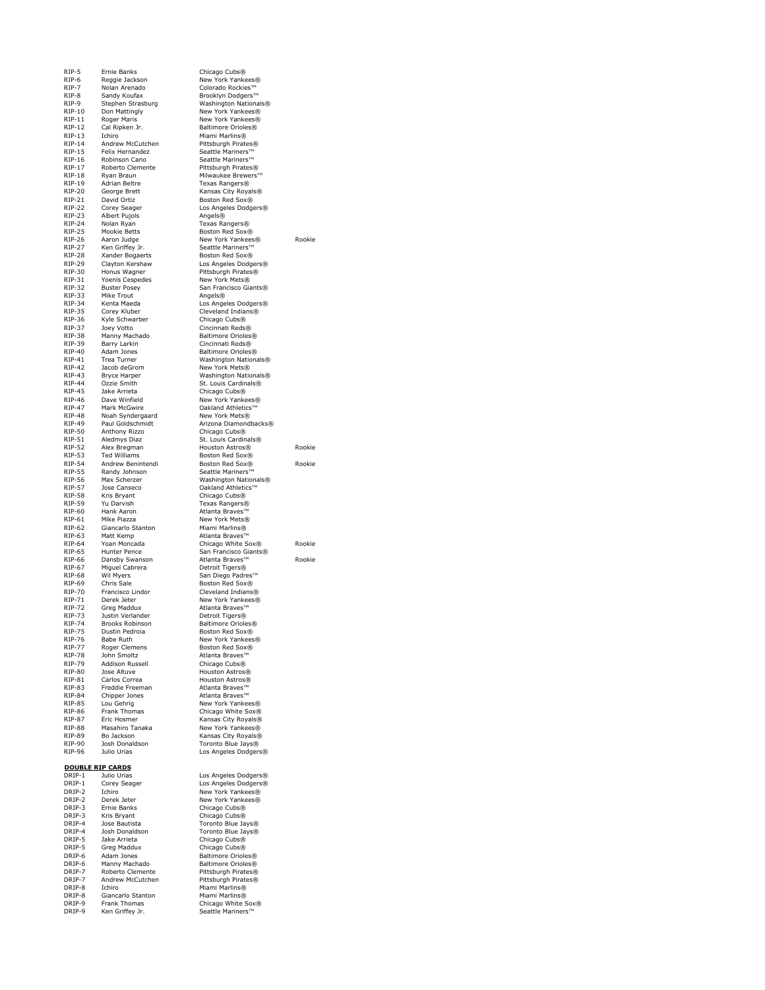RIP-5 Ernie Banks Chicago Cubs® RIP-6 Reggie Jackson New York Yankees® RIP-7 Nolan Arenado Colorado Rockies™ RIP-9 Stephen Strasburg Washington Nationals®<br>RIP-10 Don Mattingly New York Yankees®<br>RIP-11 Roger Maris New York Yankees® RIP-10 Don Mattingly New York Yankees®<br>RIP-11 Roger Maris New York Yankees® RIP-12 Cal Ripken Jr. Baltimore Orioles® RIP-13 Ichiro Miami Marlins® RIP-14 - Andrew McCutchen - Pittsburgh Pirates®<br>RIP-15 - Felix Hernandez - Seattle Mariners™ RIP-16 Robinson Canone Seattle Mariners™<br>RIP-17 Roberto Clemente Pittsburgh Pirates RIP-17 Roberto Clemente Pittsburgh Pirates®<br>RIP-18 Ryan Braun Milwaukee Brewers RIP-18 Ryan Braun Milwaukee Brewers™<br>RIP-19 Adrian Beltre Texas Rangers® RIP-19 Adrian Beltre Texas Rangers®<br>RIP-20 George Brett Kansas City Roy<br>RIP-21 David Ortiz Boston Red Sox® RIP-20 George Brett Kansas City Royals® RIP-21 David Ortiz Boston Red Sox® RIP-22 Corey Seager Los Angeles Dodgers® RIP-23 Albert Pujols<br>RIP-24 Nolan Ryan RIP-22 Albert Conserved Christian Angels®<br>RIP-24 Nolan Ryan Texas Rangers®<br>RIP-25 Mookie Betts Boston Red Sox® RIP-25 Mookie Betts Boston Red Sox®<br>RIP-26 Aaron Judge New York Yankees RIP-26 Aaron Judge New York Yankees® Rookie<br>RIP-27 Ken Griffey Jr. Seattle Mariners™ RIP-28 Xander Bogaerts Boston Red Sox®<br>RIP-29 Clayton Kershaw Los Angeles Dodg<br>RIP-30 Honus Wagner Pittsburgh Pirates RIP-29 Clayton Kershaw Los Angeles Dodgers® RIP-30 Honus Wagner Pittsburgh Pirates® RIP-31 Yoenis Cespedes<br>RIP-32 Buster Posey RIP-31 Yoenis Cespedes<br>
RIP-32 Buster Posey San Francisco Giants®<br>
RIP-32 Buster Posey San Francisco Giants®<br>
RIP-33 Mike Trout Angels® RIP-33 Mike Trout Angels® RIP-34 Kenta Maeda Los Angeles Dodgers® RIP-35 Corey Kluber Cleveland Indians®<br>
RIP-36 Kyle Schwarber Chicago Cubs® RIP-36 Kyle Schwarber Chicago Cubs®<br>
RIP-37 Joey Votto Cincinnati Reds RIP-37 Joey Votto<br>
RIP-37 Joey Votto Cincinnati Reds®<br>
RIP-38 Manny Machado Baltimore Orioles RIP-38 Manny Machado Baltimore Orioles® RIP-39 Barry Larkin Cincinnati Reds® RIP-40 Adam Jones Baltimore Orioles®<br>
RIP-41 Trea Turner Washington Nation RIP-41 Trea Turner Mashington Nationals®<br>RIP-42 Jacob deGrom New York Mets® RIP-42 Jacob deGrom New York Mets®<br>RIP-43 Bryce Harper Mashington Natio RIP-43 Bryce Harper Washington Nationals® RIP-44 Ozzie Smith St. Louis Cardinals® RIP-45 Jake Arrieta Chicago Cubs® RIP-46 Dave Winfield New York Yankees® RIP-47 Mark McGwire Oakland Athletics<br>RIP-48 Noah Syndergaard New York Mets®<br>RIP-49 Paul Goldschmidt Arizona Diamondb Noah Syndergaard<br>Paul Goldschmidt National Machineral Mew York Mets®<br>RIP-49 Paul Goldschmidt Arizona Diamondbacks®<br>RIP-50 Anthony Rizzo Chicago Cubs®<br>RIP-51 Aledmys Diaz St. Louis Cardinals® RIP-50 Anthony Rizzo Chicago Cubs® RIP-51 Aledmys Diaz St. Louis Cardinals® RIP-52 Alex Bregman Houston Astros® Rookie<br>RIP-53 Ted Williams Boston Red Sox® Ted Williams Boston Red Sox® RIP-54 Andrew Benintendi Boston Red Sox® Rookie<br>RIP-55 Randy Johnson Seattle Mariners™ RIP-55 Randy Johnson Seattle Mariners<br>
RIP-56 Max Scherzer Mashington Nati RIP-56 Max Scherzer Washington Nationals®<br>RIP-57 Jose Canseco Oakland Athletics™<br>RIP-58 Kris Bryant Chicago Cubs® **Primerical Canseco** Oakland Athletics™<br>Primerical Chicago Cubs® National State Chicago Cubs®<br>RIP-58 Kris Bryant Chicago Cubs®<br>RIP-60 Hank Aaron Atlanta Braves<sup>n</sup> RIP-59 Yu Darvish Texas Rangers® RIP-60 Hank Aaron Atlanta Braves™ RIP-61 Mike Piazza **New York Mets®**<br>RIP-62 Giancarlo Stanton Miami Marlins® RIP-62 Giancarlo Stanton<br>RIP-63 Matt Kemp RIP-63 Matt Kemp **Atlanta Braves**™<br>RIP-64 Yoan Moncada Atlanta Chicago White S RIP-64 Yoan Moncada Chicago White Sox® Rookie<br>RIP-65 Hunter Pence San Francisco Giants® RIP-65 Hunter Pence San Francisco Giants® RIP-66 Dansby Swanson Atlanta Braves™ Rookie RIP-67 Miguel Cabrera Detroit Tigers® RIP-68 Wil Myers San Diego Padres™<br>RIP-69 Chris Sale Boston Red Sox® RIP-70 Francisco Lindor Cleveland Indians®<br>RIP-71 Derek Jeter Senator New York Yankees® RIP-71 Derek Jeter New York Yankees®<br>RIP-72 Greg Maddux Atlanta Braves™ RIP-72 Greg Maddux **Atlanta Braves**™<br>RIP-73 Justin Verlander **Atlanta Braves** RIP-73 Justin Verlander<br>RIP-74 Brooks Robinson RIP-74 Brooks Robinson Baltimore Orioles®<br>RIP-75 Dustin Pedroia Boston Red Sox® RIP-75 Dustin Pedroia Boston Red Sox®<br>RIP-76 Babe Ruth New York Yankees<br>RIP-77 Roger Clemens Boston Red Sox® RIP-76 Babe Ruth New York Yankees® RIP-77 Roger Clemens Boston Red Sox® RIP-78 John Smoltz Atlanta Braves™ RIP-79 Addison Russell Chicago Cubs® RIP-80 Jose Altuve Houston Astros®<br>RIP-81 Carlos Correa Houston Astros® Native Source Houston Astros®<br>RIP-81 Carlos Correa Houston Astros®<br>RIP-83 Freddie Freeman Atlanta Braves™ RIP-83 Freddie Freeman<br>RIP-84 Chipper Jones<br>RIP-85 Lou Gehrig RIP-84 Chipper Jones Atlanta Braves™ RIP-85 Lou Gehrig New York Yankees® RIP-86 Frank Thomas Chicago White Sox® RIP-87 Eric Hosmer Kansas City Royals® RIP-88 Masahiro Tanaka New York Yankees®<br>RIP-89 Bo Jackson Nansas City Royals® RIP-89 Bo Jackson Contract Mansas City Royals®<br>RIP-90 Josh Donaldson Toronto Blue Jays® RIP-90 Josh Donaldson Toronto Blue Jays®<br>RIP-96 Julio Urias Just Los Angeles Dodger **DOUBLE RIP CARDS**<br>DRIP-1 Julio Urias<br>DRIP-1 Corey Seager

DRIP-5 Jake Arrieta Chicago Cubs® DRIP-5 Greg Maddux Chicago Cubs® DRIP-6 Adam Jones Baltimore Orioles® DRIP-6 Manny Machado Baltimore Orioles® DRIP-7 Roberto Clemente Pittsburgh Pirates® DRIP-7 Andrew McCutchen Pittsburgh Pirates® DRIP-8 Ichiro Miami Marlins® **DRIP-8** Giancarlo Stanton Miami Marlins®<br>
DRIP-9 Frank Thomas Microsofthicago White S DRIP-9 Frank Thomas Chicago White Sox® DRIP-9 Ken Griffey Jr. Seattle Mariners™

Brooklyn Dodgers™ Seattle Mariners™ Los Angeles Dodgers® DRIP-1 Julio Urias Los Angeles Dodgers® DRIP-1 Corey Seager Los Angeles Dodgers® DRIP-2 Ichiro New York Yankees® DRIP-2 Derek Jeter New York Yankees® DRIP-3 Ernie Banks Chicago Cubs®<br>
DRIP-3 Kris Bryant Chicago Cubs® DRIP-3 Kris Bryant Chicago Cubs® DRIP-4 Jose Bautista Toronto Blue Jays® DRIP-4 Josh Donaldson Toronto Blue Jays®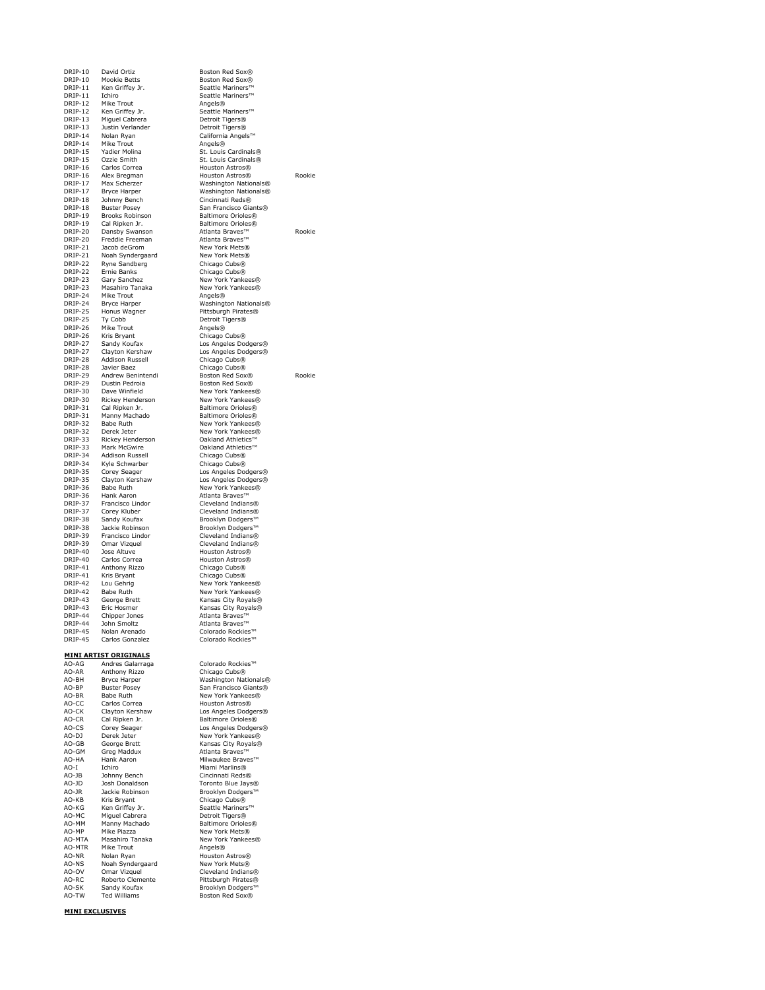DRIP-10 Mookie Betts Boston Red Sox®<br>DRIP-11 Ken Griffey Ir Seattle Mariners<sup>11</sup> DRIP-11 Ken Griffey Jr. Seattle Mariners™<br>DRIP-11 Ichiro Seattle Mariners™ **DRIP-11** Ichiro Seattle Mariners™<br>
DRIP-12 Mike Trout Angels® DRIP-12 Mike Trout Angels®<br>
DRIP-12 Ken Griffey Jr. Seattle M<br>
DRIP-13 Miguel Cabrera Detroit Ti DRIP-12 Ken Griffey Jr.<br>
DRIP-13 Miguel Cabrera Detroit Tigers®<br>
DRIP-13 Justin Verlander Detroit Tigers® DRIP-13 Justin Verlander Detroit Tigers® DRIP-14 Nolan Ryan California Angels™ DRIP-14 Mike Trout **Angels®**<br>DRIP-15 Yadier Molina St. Louis Cardinals® **DRIP-15** Ozzie Smith St. Louis Cardinals<sup>®</sup><br>DRIP-16 Carlos Correa Houston Astros® DRIP-16 Carlos Correa Houston Astros® DRIP-16 Alex Bregman Houston Astros® Rookie DRIP-17 Max Scherzer Washington Nationals® DRIP-17 Play Schenzer Mashington Nationals®<br>DRIP-17 Bryce Harper Washington Nationals®<br>DRIP-18 Johnny Bench Cincinnati Reds® DRIP-18 Johnny Bench Cincinnati Reds® DRIP-19 Brooks Robinson Baltimore Orioles®<br>DRIP-19 Cal Ripken Jr. Baltimore Orioles® DRIP-19 Cal Ripken Jr. Baltimore Orioles®<br>DRIP-20 Dansby Swanson Atlanta Braves™ DRIP-20 Dansby Swanson Atlanta Braves™ Rookie DRIP-20 Freddie Freeman<br>DRIP-21 Jacob deGrom DRIP-21 Noah Syndergaard New York Mets®<br>
DRIP-22 Ryne Sandberg Chicago Cubs®<br>
DRIP-22 Ernie Banks Chicago Cubs® DRIP-22 Ryne Sandberg Chicago Cubs® DRIP-22 Ernie Banks Chicago Cubs® DRIP-23 Gary Sanchez New York Yankees® DRIP-23 Masahiro Tanaka New York Yankees® DRIP-24 Mike Trout Angels® DRIP-24 Bryce Harper Washington Nationals® DRIP-25 Honus Wagner Pittsburgh Pirates® DRIP-25 Ty Cobb Detroit Tigers® DRIP-26 Mike Trout DRIP-26 Mike Trout<br>DRIP-26 Kris Bryant Chicago (<br>DRIP-27 Sandy Koufax Los Ange DRIP-27 Sandy Koufax Los Angeles Dodgers® DRIP-27 Clayton Kershaw Los Angeles Dodgers® DRIP-28 Addison Russell Chicago Cubs® DRIP-28 Javier Baez Chicago Cubs® DRIP-29 Andrew Benintendi Boston Red Sox® Rookie DRIP-29 Dustin Pedroia Boston Red Sox®<br>DRIP-29 Dustin Pedroia Boston Red Sox®<br>DRIP-30 Dave Winfield New York Yankees DRIP-30 Dave Winfield New York Yankees®<br>DRIP-30 Rickey Henderson New York Yankees® DRIP-31 Cal Ripken Jr. Baltimore Orioles®<br>
DRIP-31 Manny Machado Baltimore Orioles®<br>
DRIP-32 Babe Ruth New York Yankees DRIP-32 Babe Ruth New York Yankees®<br>
DRIP-32 Derek Jeter New York Yankees®<br>
DRIP-33 Rickey Henderson Oakland Athletics™ DRIP-32 Derek Jeter New York Yankees®<br>DRIP-33 Rickey Henderson Oakland Athletics™ DRIP-33 Mark McGwire Cakland Athletics™<br>DRIP-34 Addison Russell Chicago Cubs® Addison Russell DRIP-34 Kyle Schwarber Chicago Cubs®<br>
DRIP-35 Corey Seager Los Angeles Do<br>
DRIP-35 Clayton Kershaw Los Angeles Do DRIP-35 Corey Seager Los Angeles Dodgers® DRIP-35 Clayton Kershaw Los Angeles Dodgers® DRIP-36 Babe Ruth New York Yankees®<br>DRIP-36 Hank Aaron Atlanta Braves™ DRIP-37 Francisco Lindor Cleveland Indians®<br>DRIP-37 Corey Kluber Cleveland Indians® DRIP-37 Corey Kluber Cleveland Indians® DRIP-38 Sandy Koufax Brooklyn Dodgers™<br>DRIP-38 Jackie Robinson Brooklyn Dodgers™<br>DRIP-39 Francisco Lindor Cleveland Indians® DRIP-39 Francisco Lindor Cleveland Indians® DRIP-39 Omar Vizquel Cleveland Indians®<br>
DRIP-40 Jose Altuve Houston Astros® DRIP-40 Jose Altuve Houston Astros® DRIP-40 Carlos Correa Houston Astros®<br>
DRIP-41 Anthony Rizzo Chicago Cubs® DRIP-41 Anthony Rizzo<br>
DRIP-41 Kris Bryant<br>
DRIP-42 Lou Gehrig New York Yanks DRIP-41 Kris Bryant Chicago Cubs® DRIP-42 Lou Gehrig New York Yankees® DRIP-42 Babe Ruth New York Yankees®<br>
DRIP-43 George Brett Kansas City Royals® DRIP-43 George Brett Kansas City Royals®<br>
DRIP-43 Eric Hosmer Kansas City Royals® **DRIP-43** Eric Hosmer Kansas City Royals®<br>
DRIP-44 Chipper Jones Atlanta Braves™ DRIP-44 Chipper Jones<br>DRIP-44 John Smoltz DRIP-44 John Smoltz Atlanta Braves™ DRIP-45 Nolan Arenado Colorado Rockies™<br>DRIP-45 Carlos Gonzalez Colorado Rockies™ **MINI ARTIST ORIGINALS**<br>AO-AG Andres Galarraga Colorado Rockies™ AO-AR Anthony Rizzo Chicago Cubs® AO-BH Bryce Harper Washington Nationals® AO-BP Buster Posey San Francisco Giants®<br>
AO-BR Babe Ruth New York Yankees®<br>
AO-CC Carlos Correa Houston Astros® AO-BR Babe Ruth New York Yankees® AO-CC Carlos Correa Houston Astros® AO-CK Clayton Kershaw Los Angeles Dodgers® AO-CR Cal Ripken Jr. Baltimore Orioles® AO-CS Corey Seager Los Angeles Dodgers® AO-DJ Derek Jeter New York Yankees® AO-GB George Brett Kansas City Royals®<br>AO-GM Greg Maddux Atlanta Braves™ AO-GM Greg Maddux<br>AO-HA Hank Aaron AO-HA Hank Aaron Milwaukee Braves™<br>AO-HA Hank Aaron Milwaukee Braves™<br>AO-T Ichiro Miami Marlins® AO-I Ichiro - Miami Marlins®<br>AO-JB Johnny Bench - Cincinnati Reds AO-JD Josh Donaldson Toronto Blue Jays®<br>AO-JR Jackie Robinson Brooklyn Dodgers™<br>AO-KB Kris Bryant Chicago Cubs® AO-JR Jackie Robinson<br>
AO-KB Kris Bryant<br>
AO-KG Ken Griffey Jr. AO-KG Ken Griffey Jr. Seattle Mariners™<br>AO-MC Miguel Cabrera Detroit Tigers® AO-MC Miguel Cabrera **Detroit Tigers®**<br>AO-MM Manny Machado **Detroit Tigers®** AO-MM Manny Machado Baltimore Orioles®<br>AO-MP Mike Piazza Rew York Mets®<br>AO-MTA Masahiro Tanaka New York Yankees AO-MTA Masahiro Tanaka New York Yankees®<br>AO-MTR Mike Trout Angels®<br>AO-NR Nolan Ryan Mouston Astros® Mike Trout AO-MTR Mike Trout<br>
AO-NR Nolan Ryan Houston Astros®<br>
AO-NS Noah Syndergaard New York Mets®<br>
AO-OV Omar Vizquel Cleveland Indian Noah Syndergaard<br>Omar Vizquel

DRIP-10 David Ortiz Boston Red Sox®<br>DRIP-10 Mookie Betts Boston Red Sox® Seattle Mariners San Francisco Giants® New York Mets® Chicago Cubs® New York Yankees® Baltimore Orioles® DRIP-38 Jackie Robinson Brooklyn Dodgers™ Colorado Rockies™

Cincinnati Reds® Horonco Biac Bays®<br>Brooklyn Dodgers™<br>Chicago Cubs® AO-MP Mike Piazza New York Mets® AO-NS Noah Syndergaard New York Mets®<br>
AO-OV Omar Vizquel Cleveland Indians®<br>
AO-RC Roberto Clemente Pittsburgh Pirates® AO-RC Roberto Clemente Pittsburgh Pirates®<br>AO-SK Sandy Koufax Brooklyn Dodgers™ AOS-SH PRECENT Brooklyn Dodgers AO-TW Ted Williams Boston Red Sox®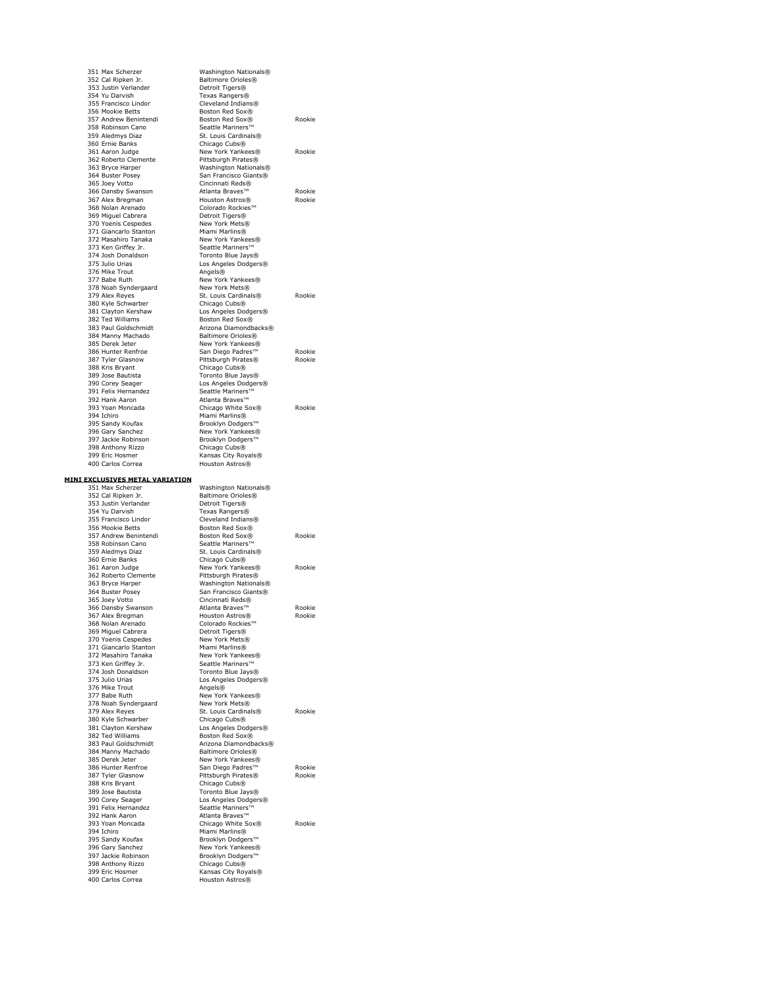| 351 Max Scherzer<br>352 Cal Ripken Jr.       | Washington Nationals®<br>Baltimore Orioles®       |                  |
|----------------------------------------------|---------------------------------------------------|------------------|
| 353 Justin Verlander                         | Detroit Tigers®                                   |                  |
| 354 Yu Darvish                               | Texas Rangers®<br>Cleveland Indians®              |                  |
| 355 Francisco Lindor<br>356 Mookie Betts     | Boston Red Sox®                                   |                  |
| 357 Andrew Benintendi                        | Boston Red Sox®                                   | Rookie           |
| 358 Robinson Cano                            | Seattle Mariners™                                 |                  |
| 359 Aledmys Diaz<br>360 Ernie Banks          | St. Louis Cardinals®<br>Chicago Cubs <sup>®</sup> |                  |
| 361 Aaron Judge                              | New York Yankees®                                 | Rookie           |
| 362 Roberto Clemente                         | Pittsburgh Pirates®                               |                  |
| 363 Bryce Harper                             | Washington Nationals®                             |                  |
| 364 Buster Posey<br>365 Joey Votto           | San Francisco Giants®<br>Cincinnati Reds®         |                  |
| 366 Dansby Swanson                           | Atlanta Braves™                                   | Rookie           |
| 367 Alex Bregman                             | Houston Astros®                                   | Rookie           |
| 368 Nolan Arenado<br>369 Miguel Cabrera      | Colorado Rockies™<br>Detroit Tigers®              |                  |
| 370 Yoenis Cespedes                          | New York Mets®                                    |                  |
| 371 Giancarlo Stanton                        | Miami Marlins®                                    |                  |
| 372 Masahiro Tanaka                          | New York Yankees®                                 |                  |
| 373 Ken Griffey Jr.<br>374 Josh Donaldson    | Seattle Mariners™<br>Toronto Blue Jays®           |                  |
| 375 Julio Urias                              | Los Angeles Dodgers®                              |                  |
| 376 Mike Trout                               | Angels®                                           |                  |
| 377 Babe Ruth<br>378 Noah Syndergaard        | New York Yankees®<br>New York Mets®               |                  |
| 379 Alex Reyes                               | St. Louis Cardinals®                              | Rookie           |
| 380 Kyle Schwarber                           | Chicago Cubs <sup>®</sup>                         |                  |
| 381 Clayton Kershaw                          | Los Angeles Dodgers®                              |                  |
| 382 Ted Williams<br>383 Paul Goldschmidt     | Boston Red Sox®<br>Arizona Diamondbacks®          |                  |
| 384 Manny Machado                            | Baltimore Orioles®                                |                  |
| 385 Derek Jeter                              | New York Yankees®                                 |                  |
| 386 Hunter Renfroe                           | San Diego Padres™<br>Pittsburgh Pirates®          | Rookie           |
| 387 Tyler Glasnow<br>388 Kris Bryant         | Chicago Cubs <sup>®</sup>                         | Rookie           |
| 389 Jose Bautista                            | Toronto Blue Jays®                                |                  |
| 390 Corey Seager                             | Los Angeles Dodgers®                              |                  |
| 391 Felix Hernandez<br>392 Hank Aaron        | Seattle Mariners™<br>Atlanta Braves™              |                  |
| 393 Yoan Moncada                             | Chicago White Sox®                                | Rookie           |
| 394 Ichiro                                   | Miami Marlins®                                    |                  |
| 395 Sandy Koufax                             | Brooklyn Dodgers™<br>New York Yankees®            |                  |
| 396 Gary Sanchez<br>397 Jackie Robinson      | Brooklyn Dodgers™                                 |                  |
| 398 Anthony Rizzo                            | Chicago Cubs <sup>®</sup>                         |                  |
| 399 Eric Hosmer                              | Kansas City Royals®                               |                  |
| 400 Carlos Correa                            | Houston Astros®                                   |                  |
|                                              |                                                   |                  |
| <b>MINI EXCLUSIVES METAL VARIATION</b>       |                                                   |                  |
| 351 Max Scherzer                             | Washington Nationals®                             |                  |
| 352 Cal Ripken Jr.                           | Baltimore Orioles®                                |                  |
| 353 Justin Verlander<br>354 Yu Darvish       | Detroit Tigers®<br>Texas Rangers®                 |                  |
| 355 Francisco Lindor                         | Cleveland Indians®                                |                  |
| 356 Mookie Betts                             | Boston Red Sox®                                   |                  |
| 357 Andrew Benintendi<br>358 Robinson Cano   | Boston Red Sox®<br>Seattle Mariners™              | Rookie           |
| 359 Aledmys Diaz                             | St. Louis Cardinals®                              |                  |
| 360 Ernie Banks                              | Chicago Cubs <sup>®</sup>                         |                  |
| 361 Aaron Judge                              | New York Yankees®                                 | Rookie           |
| 362 Roberto Clemente<br>363 Bryce Harper     | Pittsburgh Pirates®<br>Washington Nationals®      |                  |
| 364 Buster Posey                             | San Francisco Giants®                             |                  |
| 365 Joey Votto                               | Cincinnati Reds®                                  |                  |
| 366 Dansby Swanson<br>367 Alex Bregman       | Atlanta Braves™<br>Houston Astros®                | Rookie<br>Rookie |
| 368 Nolan Arenado                            | Colorado Rockies <sup>™</sup>                     |                  |
| 369 Miguel Cabrera                           | Detroit Tigers®                                   |                  |
| 370 Yoenis Cespedes                          | New York Mets®<br>Miami Marlins®                  |                  |
| 371 Giancarlo Stanton<br>372 Masahiro Tanaka | New York Yankees®                                 |                  |
| 373 Ken Griffey Jr.                          | Seattle Mariners™                                 |                  |
| 374 Josh Donaldson                           | Toronto Blue Jays®                                |                  |
| 375 Julio Urias<br>376 Mike Trout            | Los Angeles Dodgers®<br>Angels®                   |                  |
| 377 Babe Ruth                                | New York Yankees®                                 |                  |
| 378 Noah Syndergaard                         | New York Mets®                                    |                  |
| 379 Alex Reyes                               | St. Louis Cardinals®                              | Rookie           |
| 380 Kyle Schwarber<br>381 Clayton Kershaw    | Chicago Cubs <sup>®</sup><br>Los Angeles Dodgers® |                  |
| 382 Ted Williams                             | Boston Red Sox®                                   |                  |
| 383 Paul Goldschmidt                         | Arizona Diamondbacks®                             |                  |
| 384 Manny Machado<br>385 Derek Jeter         | Baltimore Orioles®<br>New York Yankees®           |                  |
| 386 Hunter Renfroe                           | San Diego Padres™                                 | Rookie           |
| 387 Tyler Glasnow                            | Pittsburgh Pirates®                               | Rookie           |
| 388 Kris Bryant                              | Chicago Cubs <sup>®</sup>                         |                  |
| 389 Jose Bautista<br>390 Corey Seager        | Toronto Blue Jays®<br>Los Angeles Dodgers®        |                  |
| 391 Felix Hernandez                          | Seattle Mariners™                                 |                  |
| 392 Hank Aaron                               | Atlanta Braves™                                   |                  |
| 393 Yoan Moncada<br>394 Ichiro               | Chicago White Sox®<br>Miami Marlins®              | Rookie           |
| 395 Sandy Koufax                             | Brooklyn Dodgers™                                 |                  |
| 396 Gary Sanchez                             | New York Yankees®                                 |                  |
| 397 Jackie Robinson                          | Brooklyn Dodgers™                                 |                  |
| 398 Anthony Rizzo<br>399 Eric Hosmer         | Chicago Cubs <sup>®</sup><br>Kansas City Royals®  |                  |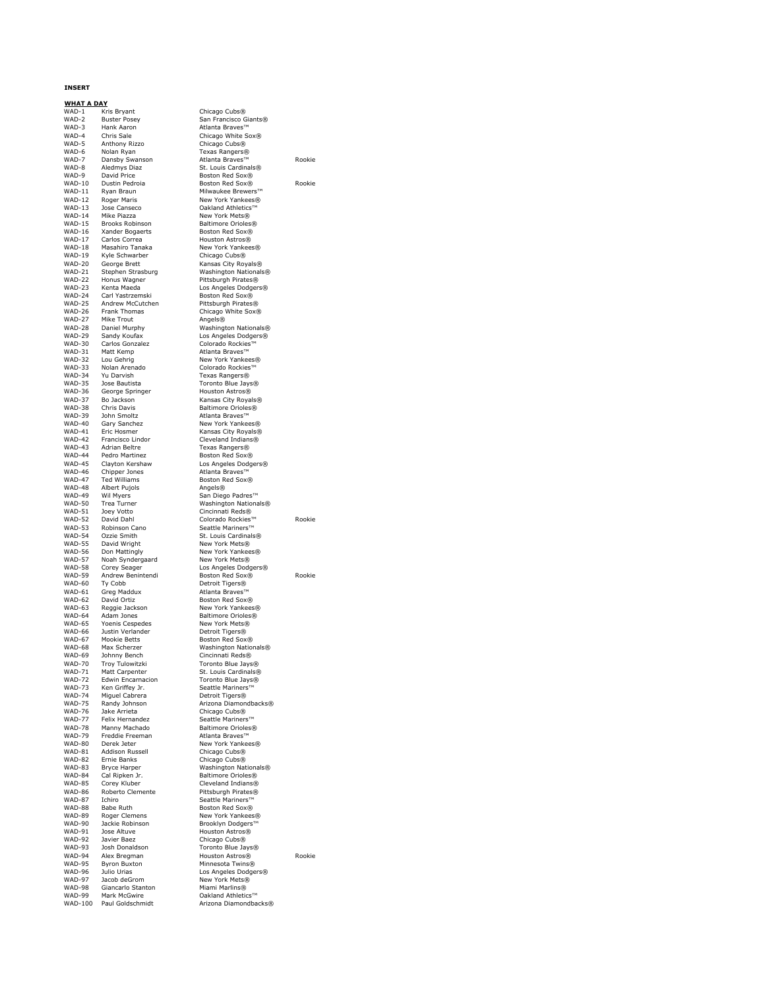### **INSERT**

**WHAT A DAY**<br>WAD-1 Kris Bryant<br>WAD-2 Buster Pose WAD-1 Kris Bryant Chicago Cubs® WAD-2 Buster Posey San Francisco Giants® WAD-3 Hank Aaron Atlanta Braves™ WAD-4 Chris Sale Chicago White Sox® WAD-5 Anthony Rizzo Chicago Cubs®<br>WAD-6 Nolan Ryan Chicago Chicago Cubs® WAD-7 Dansby Swanson Atlanta Braves™ Rookie<br>WAD-8 Aledmys Diaz St. Louis Cardinals® wab-8 Aledmys Diaz St. Louis Cardinals®<br>
WAD-9 David Price Boston Red Sox® WAD-9 David Price Boston Red Sox®<br>WAD-10 Dustin Pedroia Boston Red Sox® WAD-10 Dustin Pedroia Boston Red Sox® Rookie<br>WAD-11 Ryan Braun Milwaukee Brewers™ wan a belangriis and the Milwaukee Brewers™<br>WAD-11 Ryan Braun Milwaukee Brewers™<br>WAD-12 Roger Maris Mew York Yankees® WAD-12 Roger Maris New York Yankees®<br>WAD-13 Jose Canseco Cakland Athletics™ WAD-14 Mike Piazza<br>WAD-15 Brooks Robinson New York Mets® WAD-15 Brooks Robinson Baltimore Orioles®<br>WAD-16 Xander Bogaerts Boston Red Sox® WAD-16 Xander Bogaerts Boston Red Sox®<br>WAD-17 Carlos Correa Houston Astros® WAD-17 Carlos Correa Houston Astros®<br>WAD-18 Masahiro Tanaka New York Yankee WAD-19 Kyle Schwarber Chicago Cubs®<br>WAD-20 George Brett Chicago City Roy<br>WAD-21 Stephen Strasburg Washington Nat WAD-21 Stephen Strasburg Washington Nationals®<br>
WAD-22 Honus Wagner Pittsburgh Pirates®<br>
WAD-23 Kenta Maeda Los Angeles Dodgers® WAD-22 Honus Wagner Pittsburgh Pirates® WAD-23 Kenta Maeda Los Angeles Dodgers® WAD-24 Carl Yastrzemski Boston Red Sox®<br>WAD-25 Andrew McCutchen Pittsburgh Pirates WAD-26 Frank Thomas Chicago White Sox®<br>WAD-27 Mike Trout Chicago Angels® WAD-27 Mike Trout **Angels®**<br>WAD-28 Daniel Murphy **Angels®** WAD-28 Daniel Murphy Washington Nationals®<br>
WAD-29 Sandy Koufax Los Angeles Dodgers®<br>
WAD-30 Carlos Gonzalez Colorado Rockies™ WAD-29 Sandy Koufax Los Angeles Dodgers® WAD-30 Carlos Gonzalez Colorado Rockies™ WAD-31 Matt Kemp Atlanta Braves™ WAD-32 Lou Gehrig New York Yankees® WAD-33 Nolan Arenado Colorado Rockies™<br>WAD-34 Yu Darvish Colorado Texas Rangers® WAD-34 Yu Darvish Texas Rangers® WAD-35 Jose Bautista Toronto Blue Jays® WAD-36 George Springer Houston Astros® WAD-38 Chris Davis Baltimore Orioles®<br>WAD-39 John Smoltz Baltimore Atlanta Braves™ WAD-39 John Smoltz **Atlanta Braves™**<br>WAD-39 John Smoltz Atlanta Braves™<br>WAD-40 Gary Sanchez New York Yankee WAD-40 Gary Sanchez<br>
WAD-41 Eric Hosmer Kansas City Royals®<br>
WAD-42 Francisco Lindor Cleveland Indians® WAD-41 Eric Hosmer Kansas City Royals® WAD-42 Francisco Lindor Cleveland Indians® WAD-43 Adrian Beltre Texas Rangers® WAD-44 Pedro Martinez Boston Red Sox® WAD-45 Clayton Kershaw Los Angeles Dodgers®<br>WAD-46 Chipper Jones Atlanta Braves™ WAD-46 Chipper Jones Atlanta Braves™<br>WAD-47 Ted Williams Boston Red Sox® WAD-48 Albert Pujols<br>WAD-49 Wil Myers WAD-49 When Wandels Magels®<br>WAD-49 Wil Myers San Diego Padres™<br>WAD-50 Trea Turner Washington National<br>WAD-51 Joey Votto Sincinnati Reds® WAD-50 Trea Turner Washington Nationals® WAD-51 Joey Votto Cincinnati Reds® WAD-52 David Dahl Colorado Rockies™ Rookie<br>WAD-53 Robinson Cano Seattle Mariners™ WAD-54 Ozzie Smith St. Louis Cardinals<sup>®</sup><br>WAD-55 David Wright St. New York Mets® WAD-55 David Wright<br>WAD-56 Don Mattingly WAD-56 Don Mattingly New York Yankees®<br>WAD-57 Noah Syndergaard New York Mets® WAD-57 Noah Syndergaard<br>WAD-58 Corey Seager wab-58 Corey Seager Los Angeles Dodgers®<br>WAD-58 Corey Seager Los Angeles Dodgers®<br>WAD-59 Andrew Benintendi Boston Red Sox® WAD-59 Andrew Benintendi Boston Red Sox® Rookie<br>WAD-60 Ty Cobb Detroit Tigers® WAD-61 Greg Maddux **Atlanta Braves™**<br>WAD-62 David Ortiz **Atlanta Braves**™ WAD-62 David Ortiz Boston Red Sox®<br>WAD-63 Reggie Jackson New York Yankee WAD-63 Reggie Jackson New York Yankees®<br>WAD-64 Adam Jones New Baltimore Orioles® WAD-64 Adam Jones<br>WAD-65 Yoenis Cespedes New York Mets® WAD-66 Justin Verlander Detroit Tigers®<br>WAD-67 Mookie Betts Boston Red Sox<br>WAD-68 Max Scherzer Washington Nat WAD-68 Max Scherzer Washington Nationals®<br>WAD-69 Johnny Bench Cincinnati Reds® wap - Fight Cincinnati<br>WAD-69 - Johnny Bench<br>WAD-70 - Troy Tulowitzki WAD-70 Troy Tulowitzki Toronto Blue Jays®<br>WAD-70 Troy Tulowitzki Toronto Blue Jays®<br>WAD-71 Matt Carnenter St Louis Cardinals® WAD-71 Matt Carpenter St. Louis Cardinals®<br>WAD-72 Fdwin Fncarnacion Toronto Blue Jays® WAD-72 Fedwin Encarnacion Foronto Blue Jays®<br>WAD-72 Edwin Encarnacion Toronto Blue Jays®<br>WAD-73 Ken Griffev Jr. Seattle Mariners™ WAD-73 Ken Griffey Jr. Seattle Mariners<br>
WAD-74 Miguel Cabrera Detroit Tigers®<br>
WAD-75 Randy Johnson Arizona Diamond WAD-74 Miguel Cabrera Detroit Tigers® WAD-75 Randy Johnson Arizona Diamondbacks® WAD-76 Jake Arrieta Chicago Cubs® WAD-77 Felix Hernandez Seattle Mariners™ WAD-78 Manny Machado Baltimore Orioles® WAD-79 Freddie Freeman Atlanta Braves™ WAD-80 Derek Jeter New York Yankees®<br>WAD-81 Addison Russell Chicago Cubs® WAD-81 Addison Russell Chicago Cubs®<br>WAD-82 Ernie Banks Chicago Cubs® WAD-82 Ernie Banks Chicago Cubs® WAD-83 Bryce Harper Washington Nationals® WAD-85 Corey Kluber Cleveland Indians®<br>WAD-86 Roberto Clemente Pittsburgh Pirates®<br>WAD-87 Ichiro Seattle Mariners™ WAD-86 Roberto Clemente Pittsburgh Pirates® WAD-87 Ichiro Seattle Mariners™ WAD-88 Babe Ruth Boston Red Sox®<br>WAD-89 Roger Clemens New York Yankee WAD-89 Roger Clemens New York Yankees®<br>WAD-90 Jackie Robinson Rrooklyn Dodgers™ WAD-90 Jackie Robinson Brooklyn Dodgers™ WAD-92 Javier Baez<br>WAD-93 Josh Donaldson Toronto Blue Ja<br>WAD-94 Alex Bregman Houston Astros WAD-93 Josh Donaldson Toronto Blue Jays® WAD-94 Alex Bregman Houston Astros® Rookie WAD-95 Byron Buxton Minnesota Twins®<br>WAD-96 Julio Urias Museum Los Angeles Dodge war - How - How - How - How - House - House - House - Los Angeles Dodgers®<br>WAD-97 - Jacob deGrom - Mew York Mets® wAD-97 Jacob deGrom New York Mets®<br>WAD-98 Giancarlo Stanton Miami Marlins® Succo decironi WAD-99 Mark McGwire **Oakland Athletics**<br>WAD-100 Paul Goldschmidt **Object Arizona Diamondh** 

WAD-6 Nolan Ryan Texas Rangers® Oakland Athletics™ New York Yankees® Kansas City Royals® Pittsburgh Pirates® Kansas City Royals® Seattle Mariners™ Detroit Tigers® New York Mets® Boston Red Sox® Baltimore Orioles® Houston Astros® Arizona Diamondbacks®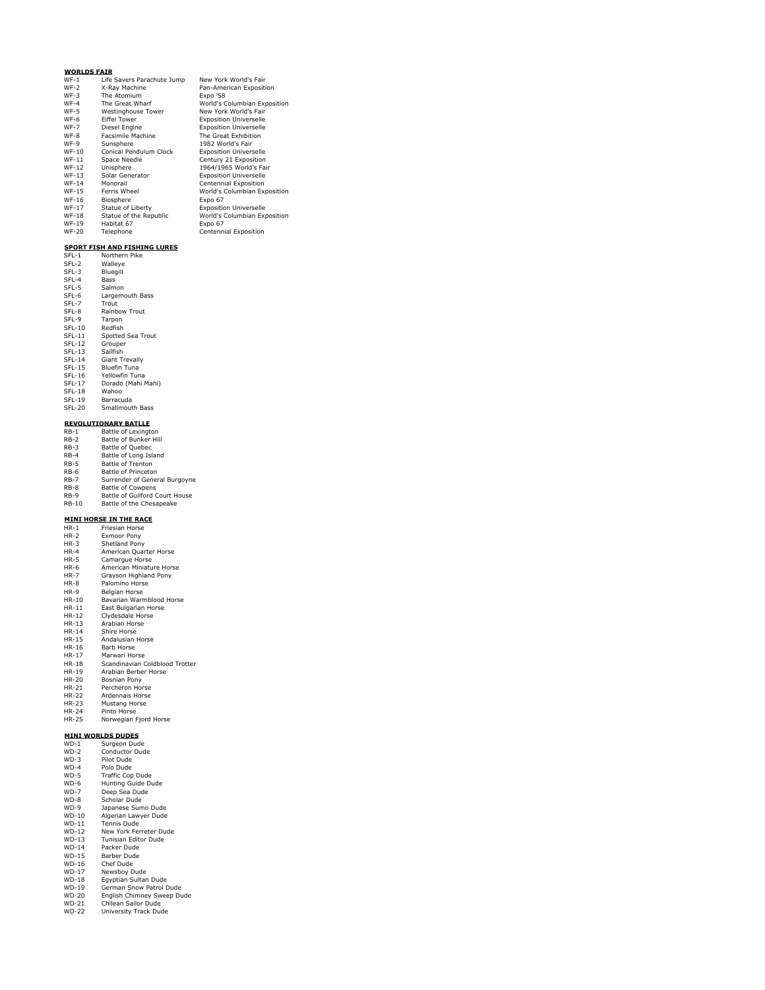### **WORLDS FAIR**

| $WF-1$       | Life Savers Parachute Jump | New York World's Fair         |
|--------------|----------------------------|-------------------------------|
| $WF-2$       | X-Rav Machine              | Pan-American Exposition       |
| $WF-3$       | The Atomium                | Expo '58                      |
| $WF-4$       | The Great Wharf            | World's Columbian Exposition  |
| $WF-5$       | Westinghouse Tower         | New York World's Fair         |
| $WF-6$       | <b>Fiffel Tower</b>        | <b>Exposition Universelle</b> |
| $WF-7$       | Diesel Engine              | <b>Exposition Universelle</b> |
| $WF-8$       | Facsimile Machine          | The Great Exhibition          |
| $WF-9$       | Sunsphere                  | 1982 World's Fair             |
| $WF-10$      | Conical Pendulum Clock     | <b>Exposition Universelle</b> |
| $WF-11$      | Space Needle               | Century 21 Exposition         |
| <b>WF-12</b> | Unisphere                  | 1964/1965 World's Fair        |
| <b>WF-13</b> | Solar Generator            | <b>Exposition Universelle</b> |
| <b>WF-14</b> | Monorail                   | Centennial Exposition         |
| <b>WF-15</b> | Ferris Wheel               | World's Columbian Exposition  |
| WF-16        | Biosphere                  | Expo 67                       |
| <b>WF-17</b> | Statue of Liberty          | <b>Exposition Universelle</b> |
| <b>WF-18</b> | Statue of the Republic     | World's Columbian Exposition  |
| <b>WF-19</b> | Habitat 67                 | Expo 67                       |
| <b>WF-20</b> | Telephone                  | Centennial Exposition         |

# **SPORT FISH AND FISHING LURES** SFL-1 Northern Pike SFL-2 Walleye

| SFL-2         | Walleye                |
|---------------|------------------------|
| SFL-3         | Bluegill               |
| SFL-4         | Bass                   |
| SFL-5         | Salmon                 |
| SFL-6         | Largemouth Bass        |
| SFL-7         | Trout                  |
| SFL-8         | <b>Rainbow Trout</b>   |
| SFL-9         | Tarpon                 |
| SFL-10        | Redfish                |
| $SFL-11$      | Spotted Sea Trout      |
| SFL-12        | Grouper                |
| SFL-13        | Sailfish               |
| SFL-14        | <b>Giant Trevally</b>  |
| SFL-15        | Bluefin Tuna           |
| SFL-16        | Yellowfin Tuna         |
| SFL-17        | Dorado (Mahi Mahi)     |
| <b>SFL-18</b> | Wahoo                  |
| SFL-19        | Barracuda              |
| <b>SFL-20</b> | <b>Smallmouth Bass</b> |
|               |                        |

# **REVOLUTIONARY BATLLE**

| $RB-1$       | Battle of Lexington            |
|--------------|--------------------------------|
| $RB-2$       | Battle of Bunker Hill          |
| $RB-3$       | Battle of Quebec               |
| $RB-4$       | Battle of Long Island          |
| RB-5         | Battle of Trenton              |
| RB-6         | Battle of Princeton            |
| <b>RB-7</b>  | Surrender of General Burgovne  |
| $RB-8$       | <b>Battle of Cowpens</b>       |
| $RB-9$       | Battle of Guilford Court House |
| <b>RB-10</b> | Battle of the Chesapeake       |

# **MINI HORSE IN THE RACE** HR-1 Friesian Horse

| $ - -$       |                                |
|--------------|--------------------------------|
| $HR-2$       | Exmoor Pony                    |
| $HR-3$       | Shetland Pony                  |
| $HR-4$       | American Quarter Horse         |
| $HR-5$       | Camarque Horse                 |
| $HR-6$       | American Miniature Horse       |
| $HR-7$       | Grayson Highland Pony          |
| $HR - 8$     | Palomino Horse                 |
| $HR-9$       | Belgian Horse                  |
| $HR-10$      | Bavarian Warmblood Horse       |
| HR-11        | East Bulgarian Horse           |
| HR-12        | Clydesdale Horse               |
| HR-13        | Arabian Horse                  |
| $HR-14$      | Shire Horse                    |
| <b>HR-15</b> | Andalusian Horse               |
| HR-16        | Barb Horse                     |
| <b>HR-17</b> | Marwari Horse                  |
| <b>HR-18</b> | Scandinavian Coldblood Trotter |
| HR-19        | Arabian Berber Horse           |
| HR-20        | Bosnian Pony                   |
| <b>HR-21</b> | Percheron Horse                |
| <b>HR-22</b> | Ardennais Horse                |
| <b>HR-23</b> | Mustang Horse                  |
| <b>HR-24</b> | Pinto Horse                    |
| HR-25        | Norwegian Fjord Horse          |

# **MINI WORLDS DUDES**

| WD-1         | Surgeon Dude               |
|--------------|----------------------------|
| $WD-2$       | Conductor Dude             |
| $WD-3$       | Pilot Dude                 |
| $WD-4$       | Polo Dude                  |
| WD-5         | <b>Traffic Cop Dude</b>    |
| $WD-6$       | Hunting Guide Dude         |
| WD-7         | Deep Sea Dude              |
| $WD-8$       | Scholar Dude               |
| $WD-9$       | Japanese Sumo Dude         |
| $WD-10$      | Algerian Lawyer Dude       |
| <b>WD-11</b> | <b>Tennis Dude</b>         |
| WD-12        | New York Ferreter Dude     |
| WD-13        | Tunisian Editor Dude       |
| $WD-14$      | Packer Dude                |
| $WD-15$      | Barber Dude                |
| $WD-16$      | Chef Dude                  |
| $WD-17$      | Newsboy Dude               |
| $WD-18$      | Egyptian Sultan Dude       |
| $WD-19$      | German Snow Patrol Dude    |
| <b>WD-20</b> | English Chimney Sweep Dude |
| $WD-21$      | Chilean Sailor Dude        |
| WD-22        | University Track Dude      |